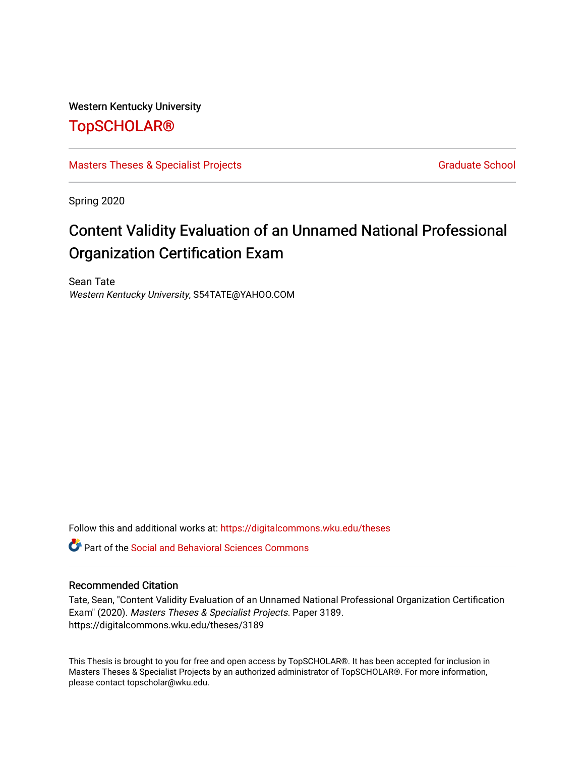#### Western Kentucky University

# [TopSCHOLAR®](https://digitalcommons.wku.edu/)

[Masters Theses & Specialist Projects](https://digitalcommons.wku.edu/theses) [Graduate School](https://digitalcommons.wku.edu/Graduate) Graduate School

Spring 2020

# Content Validity Evaluation of an Unnamed National Professional Organization Certification Exam

Sean Tate Western Kentucky University, S54TATE@YAHOO.COM

Follow this and additional works at: [https://digitalcommons.wku.edu/theses](https://digitalcommons.wku.edu/theses?utm_source=digitalcommons.wku.edu%2Ftheses%2F3189&utm_medium=PDF&utm_campaign=PDFCoverPages) 

**C** Part of the Social and Behavioral Sciences Commons

#### Recommended Citation

Tate, Sean, "Content Validity Evaluation of an Unnamed National Professional Organization Certification Exam" (2020). Masters Theses & Specialist Projects. Paper 3189. https://digitalcommons.wku.edu/theses/3189

This Thesis is brought to you for free and open access by TopSCHOLAR®. It has been accepted for inclusion in Masters Theses & Specialist Projects by an authorized administrator of TopSCHOLAR®. For more information, please contact topscholar@wku.edu.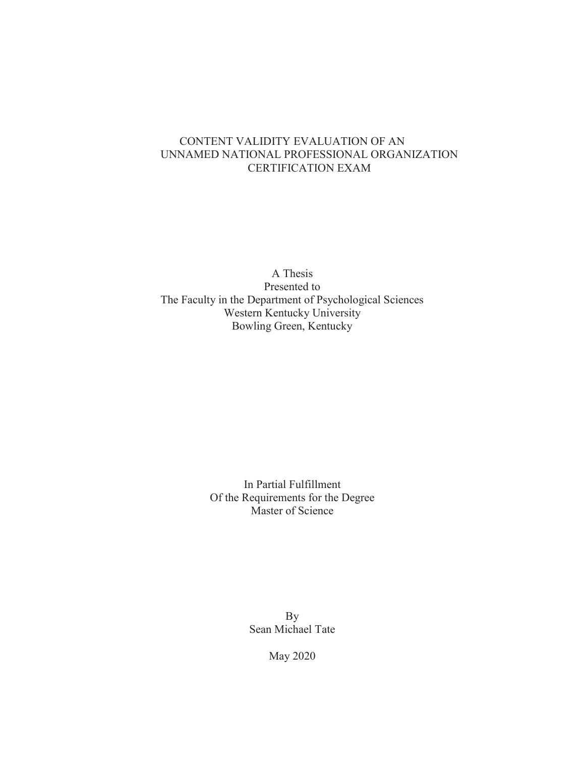#### CONTENT VALIDITY EVALUATION OF AN UNNAMED NATIONAL PROFESSIONAL ORGANIZATION CERTIFICATION EXAM

A Thesis Presented to The Faculty in the Department of Psychological Sciences Western Kentucky University Bowling Green, Kentucky

> In Partial Fulfillment Of the Requirements for the Degree Master of Science

> > By Sean Michael Tate

> > > May 2020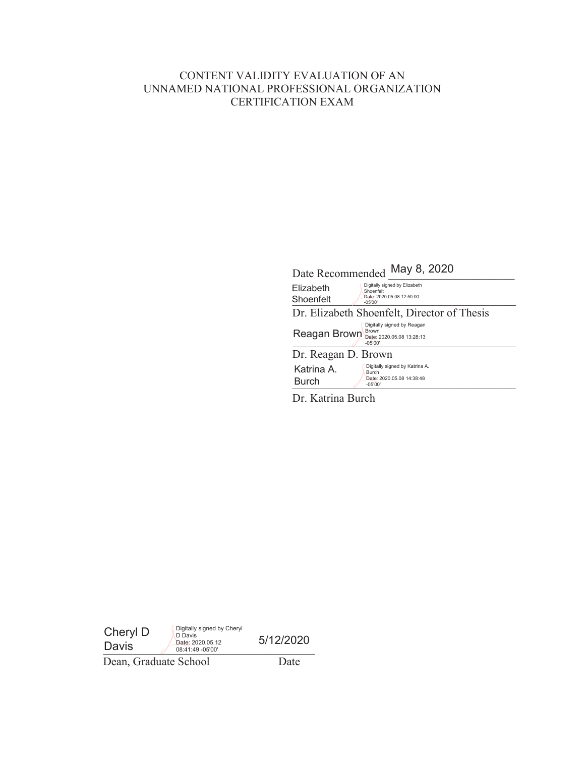# CONTENT VALIDITY EVALUATION OF AN UNNAMED NATIONAL PROFESSIONAL ORGANIZATION CERTIFICATION EXAM

|                            | May 8, 2020<br>Date Recommended                                                                         |  |  |  |  |
|----------------------------|---------------------------------------------------------------------------------------------------------|--|--|--|--|
| Elizabeth<br>Shoenfelt     | Digitally signed by Elizabeth<br>Shoenfelt<br>Date: 2020.05.08 12:50:00<br>$-05'00'$                    |  |  |  |  |
|                            | Dr. Elizabeth Shoenfelt, Director of Thesis                                                             |  |  |  |  |
|                            | Digitally signed by Reagan<br><b>Brown</b><br>Reagan Brown Brown Date: 2020.05.08 13:28:13<br>$-05'00'$ |  |  |  |  |
| Dr. Reagan D. Brown        |                                                                                                         |  |  |  |  |
| Katrina A.<br><b>Burch</b> | Digitally signed by Katrina A.<br><b>Burch</b><br>Date: 2020.05.08 14:38:48<br>$-05'00'$                |  |  |  |  |
|                            |                                                                                                         |  |  |  |  |

Dr. Katrina Burch

| Cheryl D<br>Davis     | Digitally signed by Cheryl<br>D Davis<br>Date: 2020.05.12<br>08:41:49 -05'00' | 5/12/2020 |
|-----------------------|-------------------------------------------------------------------------------|-----------|
| Dean, Graduate School |                                                                               | Date      |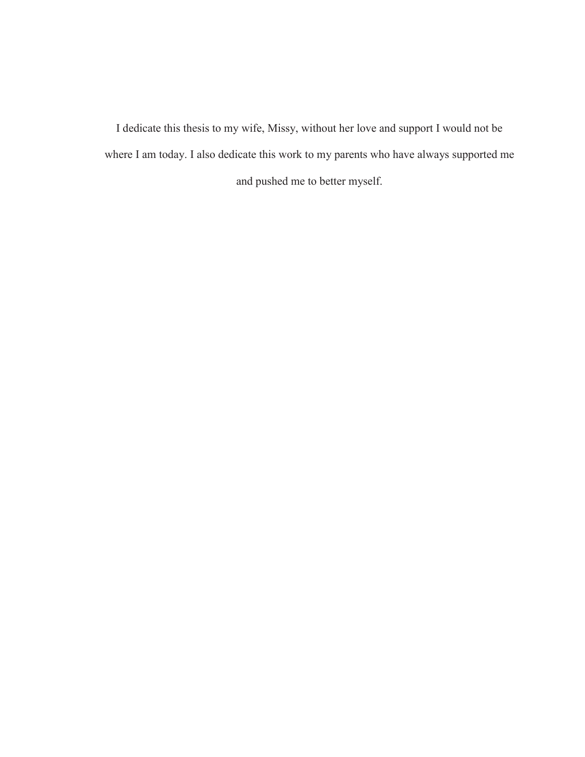I dedicate this thesis to my wife, Missy, without her love and support I would not be where I am today. I also dedicate this work to my parents who have always supported me and pushed me to better myself.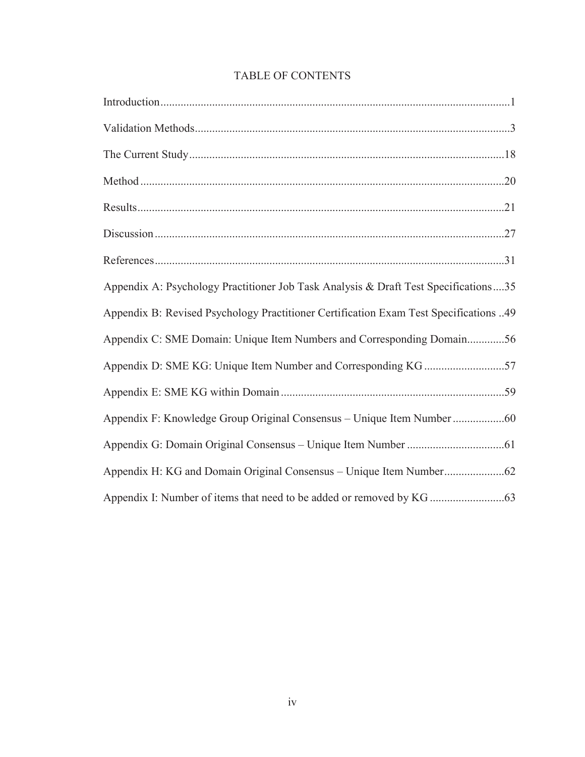| Appendix A: Psychology Practitioner Job Task Analysis & Draft Test Specifications35   |
|---------------------------------------------------------------------------------------|
| Appendix B: Revised Psychology Practitioner Certification Exam Test Specifications 49 |
| Appendix C: SME Domain: Unique Item Numbers and Corresponding Domain56                |
| Appendix D: SME KG: Unique Item Number and Corresponding KG 57                        |
|                                                                                       |
| Appendix F: Knowledge Group Original Consensus - Unique Item Number 60                |
|                                                                                       |
|                                                                                       |
|                                                                                       |

# TABLE OF CONTENTS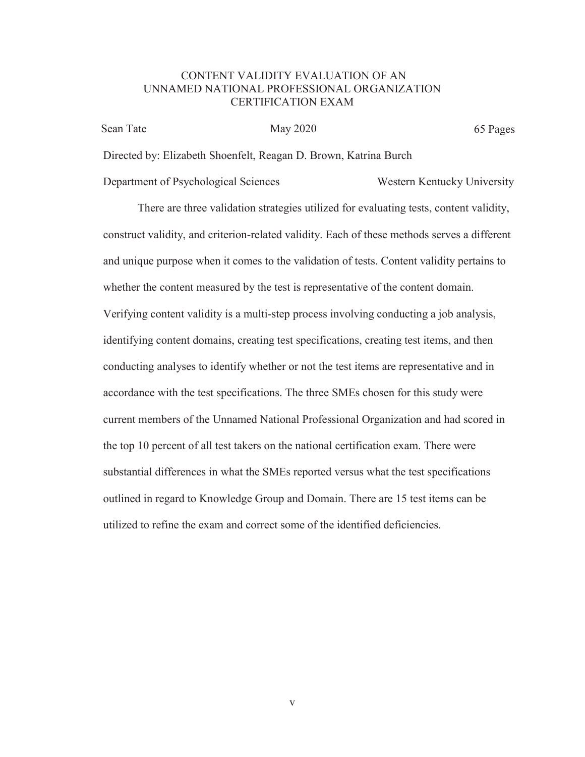#### CONTENT VALIDITY EVALUATION OF AN UNNAMED NATIONAL PROFESSIONAL ORGANIZATION CERTIFICATION EXAM

Sean Tate May 2020 May 2020 65 Pages

Directed by: Elizabeth Shoenfelt, Reagan D. Brown, Katrina Burch

Department of Psychological Sciences Western Kentucky University

There are three validation strategies utilized for evaluating tests, content validity, construct validity, and criterion-related validity. Each of these methods serves a different and unique purpose when it comes to the validation of tests. Content validity pertains to whether the content measured by the test is representative of the content domain. Verifying content validity is a multi-step process involving conducting a job analysis, identifying content domains, creating test specifications, creating test items, and then conducting analyses to identify whether or not the test items are representative and in accordance with the test specifications. The three SMEs chosen for this study were current members of the Unnamed National Professional Organization and had scored in the top 10 percent of all test takers on the national certification exam. There were substantial differences in what the SMEs reported versus what the test specifications outlined in regard to Knowledge Group and Domain. There are 15 test items can be utilized to refine the exam and correct some of the identified deficiencies.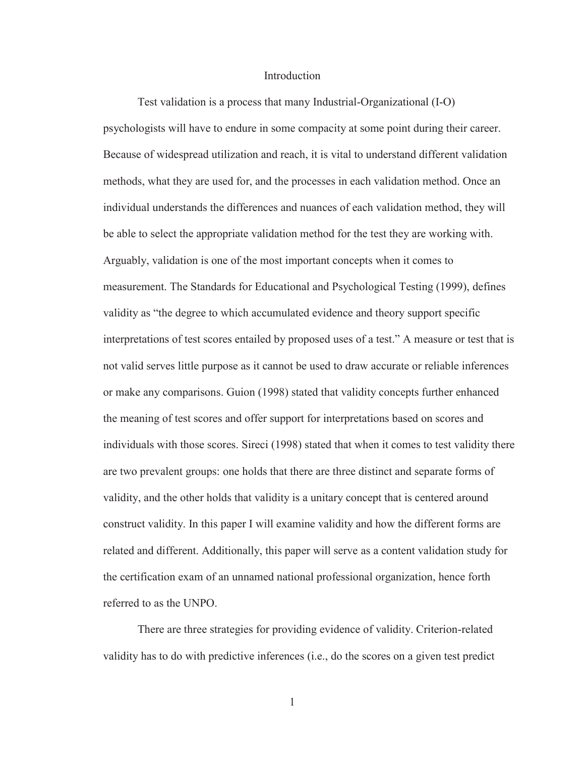#### Introduction

Test validation is a process that many Industrial-Organizational (I-O) psychologists will have to endure in some compacity at some point during their career. Because of widespread utilization and reach, it is vital to understand different validation methods, what they are used for, and the processes in each validation method. Once an individual understands the differences and nuances of each validation method, they will be able to select the appropriate validation method for the test they are working with. Arguably, validation is one of the most important concepts when it comes to measurement. The Standards for Educational and Psychological Testing (1999), defines validity as "the degree to which accumulated evidence and theory support specific interpretations of test scores entailed by proposed uses of a test." A measure or test that is not valid serves little purpose as it cannot be used to draw accurate or reliable inferences or make any comparisons. Guion (1998) stated that validity concepts further enhanced the meaning of test scores and offer support for interpretations based on scores and individuals with those scores. Sireci (1998) stated that when it comes to test validity there are two prevalent groups: one holds that there are three distinct and separate forms of validity, and the other holds that validity is a unitary concept that is centered around construct validity. In this paper I will examine validity and how the different forms are related and different. Additionally, this paper will serve as a content validation study for the certification exam of an unnamed national professional organization, hence forth referred to as the UNPO.

There are three strategies for providing evidence of validity. Criterion-related validity has to do with predictive inferences (i.e., do the scores on a given test predict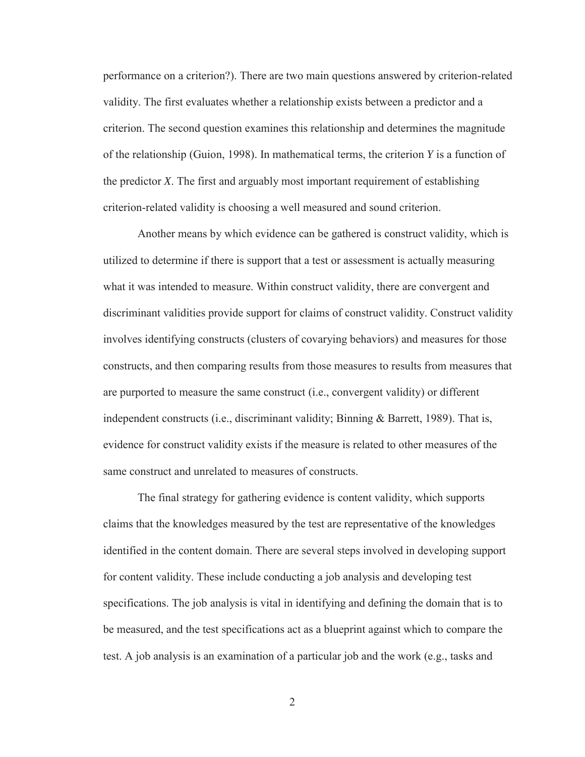performance on a criterion?). There are two main questions answered by criterion-related validity. The first evaluates whether a relationship exists between a predictor and a criterion. The second question examines this relationship and determines the magnitude of the relationship (Guion, 1998). In mathematical terms, the criterion *Y* is a function of the predictor *X*. The first and arguably most important requirement of establishing criterion-related validity is choosing a well measured and sound criterion.

Another means by which evidence can be gathered is construct validity, which is utilized to determine if there is support that a test or assessment is actually measuring what it was intended to measure. Within construct validity, there are convergent and discriminant validities provide support for claims of construct validity. Construct validity involves identifying constructs (clusters of covarying behaviors) and measures for those constructs, and then comparing results from those measures to results from measures that are purported to measure the same construct (i.e., convergent validity) or different independent constructs (i.e., discriminant validity; Binning & Barrett, 1989). That is, evidence for construct validity exists if the measure is related to other measures of the same construct and unrelated to measures of constructs.

The final strategy for gathering evidence is content validity, which supports claims that the knowledges measured by the test are representative of the knowledges identified in the content domain. There are several steps involved in developing support for content validity. These include conducting a job analysis and developing test specifications. The job analysis is vital in identifying and defining the domain that is to be measured, and the test specifications act as a blueprint against which to compare the test. A job analysis is an examination of a particular job and the work (e.g., tasks and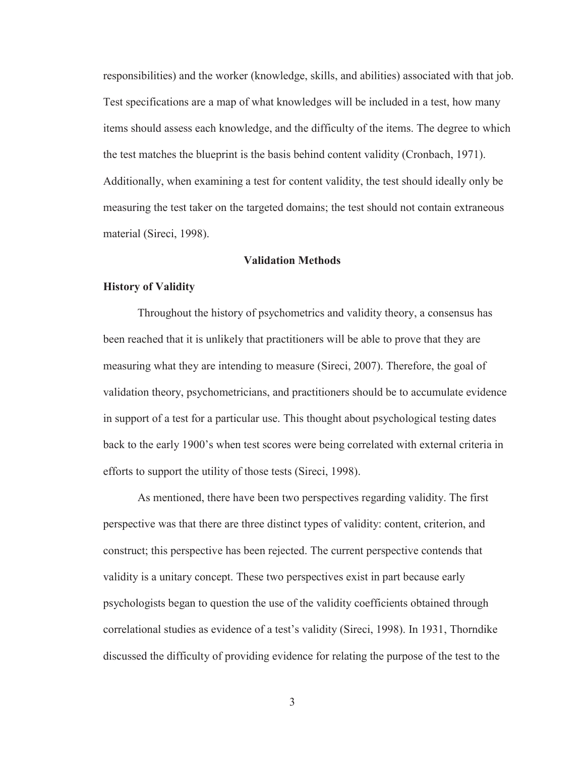responsibilities) and the worker (knowledge, skills, and abilities) associated with that job. Test specifications are a map of what knowledges will be included in a test, how many items should assess each knowledge, and the difficulty of the items. The degree to which the test matches the blueprint is the basis behind content validity (Cronbach, 1971). Additionally, when examining a test for content validity, the test should ideally only be measuring the test taker on the targeted domains; the test should not contain extraneous material (Sireci, 1998).

#### **Validation Methods**

#### **History of Validity**

Throughout the history of psychometrics and validity theory, a consensus has been reached that it is unlikely that practitioners will be able to prove that they are measuring what they are intending to measure (Sireci, 2007). Therefore, the goal of validation theory, psychometricians, and practitioners should be to accumulate evidence in support of a test for a particular use. This thought about psychological testing dates back to the early 1900's when test scores were being correlated with external criteria in efforts to support the utility of those tests (Sireci, 1998).

As mentioned, there have been two perspectives regarding validity. The first perspective was that there are three distinct types of validity: content, criterion, and construct; this perspective has been rejected. The current perspective contends that validity is a unitary concept. These two perspectives exist in part because early psychologists began to question the use of the validity coefficients obtained through correlational studies as evidence of a test's validity (Sireci, 1998). In 1931, Thorndike discussed the difficulty of providing evidence for relating the purpose of the test to the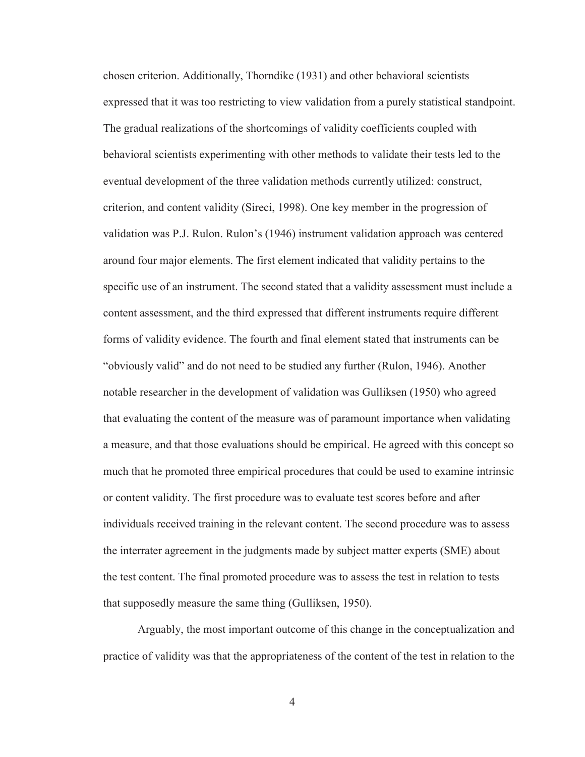chosen criterion. Additionally, Thorndike (1931) and other behavioral scientists expressed that it was too restricting to view validation from a purely statistical standpoint. The gradual realizations of the shortcomings of validity coefficients coupled with behavioral scientists experimenting with other methods to validate their tests led to the eventual development of the three validation methods currently utilized: construct, criterion, and content validity (Sireci, 1998). One key member in the progression of validation was P.J. Rulon. Rulon's (1946) instrument validation approach was centered around four major elements. The first element indicated that validity pertains to the specific use of an instrument. The second stated that a validity assessment must include a content assessment, and the third expressed that different instruments require different forms of validity evidence. The fourth and final element stated that instruments can be "obviously valid" and do not need to be studied any further (Rulon, 1946). Another notable researcher in the development of validation was Gulliksen (1950) who agreed that evaluating the content of the measure was of paramount importance when validating a measure, and that those evaluations should be empirical. He agreed with this concept so much that he promoted three empirical procedures that could be used to examine intrinsic or content validity. The first procedure was to evaluate test scores before and after individuals received training in the relevant content. The second procedure was to assess the interrater agreement in the judgments made by subject matter experts (SME) about the test content. The final promoted procedure was to assess the test in relation to tests that supposedly measure the same thing (Gulliksen, 1950).

Arguably, the most important outcome of this change in the conceptualization and practice of validity was that the appropriateness of the content of the test in relation to the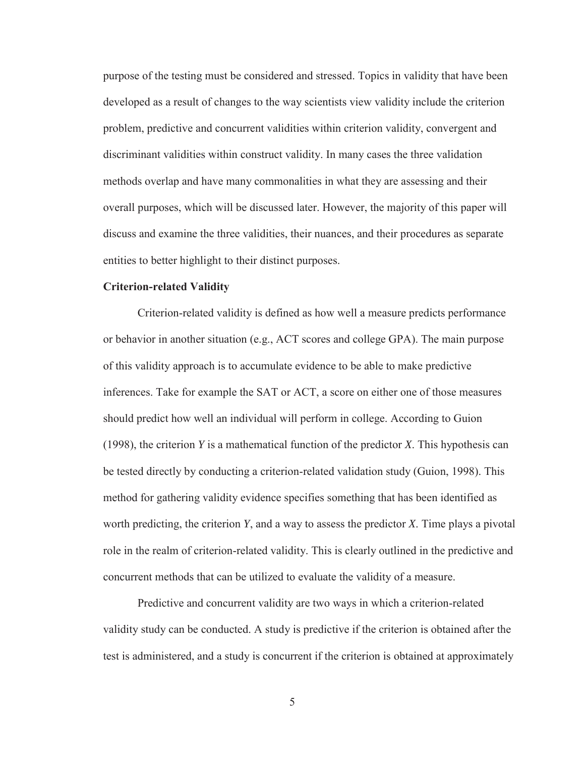purpose of the testing must be considered and stressed. Topics in validity that have been developed as a result of changes to the way scientists view validity include the criterion problem, predictive and concurrent validities within criterion validity, convergent and discriminant validities within construct validity. In many cases the three validation methods overlap and have many commonalities in what they are assessing and their overall purposes, which will be discussed later. However, the majority of this paper will discuss and examine the three validities, their nuances, and their procedures as separate entities to better highlight to their distinct purposes.

#### **Criterion-related Validity**

 Criterion-related validity is defined as how well a measure predicts performance or behavior in another situation (e.g., ACT scores and college GPA). The main purpose of this validity approach is to accumulate evidence to be able to make predictive inferences. Take for example the SAT or ACT, a score on either one of those measures should predict how well an individual will perform in college. According to Guion (1998), the criterion *Y* is a mathematical function of the predictor *X*. This hypothesis can be tested directly by conducting a criterion-related validation study (Guion, 1998). This method for gathering validity evidence specifies something that has been identified as worth predicting, the criterion *Y*, and a way to assess the predictor *X*. Time plays a pivotal role in the realm of criterion-related validity. This is clearly outlined in the predictive and concurrent methods that can be utilized to evaluate the validity of a measure.

 Predictive and concurrent validity are two ways in which a criterion-related validity study can be conducted. A study is predictive if the criterion is obtained after the test is administered, and a study is concurrent if the criterion is obtained at approximately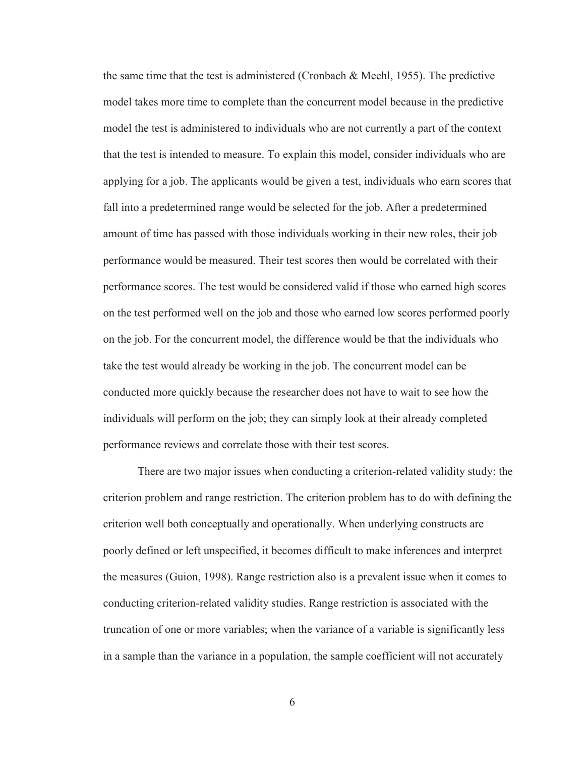the same time that the test is administered (Cronbach & Meehl, 1955). The predictive model takes more time to complete than the concurrent model because in the predictive model the test is administered to individuals who are not currently a part of the context that the test is intended to measure. To explain this model, consider individuals who are applying for a job. The applicants would be given a test, individuals who earn scores that fall into a predetermined range would be selected for the job. After a predetermined amount of time has passed with those individuals working in their new roles, their job performance would be measured. Their test scores then would be correlated with their performance scores. The test would be considered valid if those who earned high scores on the test performed well on the job and those who earned low scores performed poorly on the job. For the concurrent model, the difference would be that the individuals who take the test would already be working in the job. The concurrent model can be conducted more quickly because the researcher does not have to wait to see how the individuals will perform on the job; they can simply look at their already completed performance reviews and correlate those with their test scores.

There are two major issues when conducting a criterion-related validity study: the criterion problem and range restriction. The criterion problem has to do with defining the criterion well both conceptually and operationally. When underlying constructs are poorly defined or left unspecified, it becomes difficult to make inferences and interpret the measures (Guion, 1998). Range restriction also is a prevalent issue when it comes to conducting criterion-related validity studies. Range restriction is associated with the truncation of one or more variables; when the variance of a variable is significantly less in a sample than the variance in a population, the sample coefficient will not accurately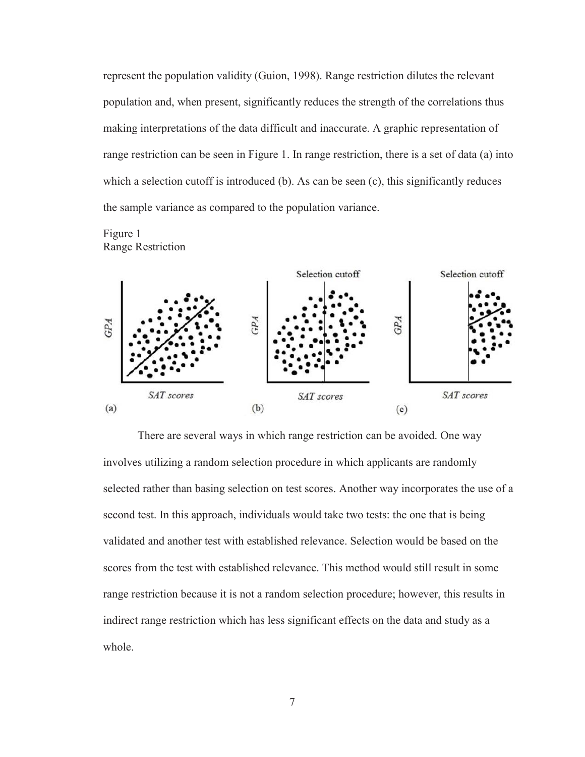represent the population validity (Guion, 1998). Range restriction dilutes the relevant population and, when present, significantly reduces the strength of the correlations thus making interpretations of the data difficult and inaccurate. A graphic representation of range restriction can be seen in Figure 1. In range restriction, there is a set of data (a) into which a selection cutoff is introduced  $(b)$ . As can be seen  $(c)$ , this significantly reduces the sample variance as compared to the population variance.





There are several ways in which range restriction can be avoided. One way involves utilizing a random selection procedure in which applicants are randomly selected rather than basing selection on test scores. Another way incorporates the use of a second test. In this approach, individuals would take two tests: the one that is being validated and another test with established relevance. Selection would be based on the scores from the test with established relevance. This method would still result in some range restriction because it is not a random selection procedure; however, this results in indirect range restriction which has less significant effects on the data and study as a whole.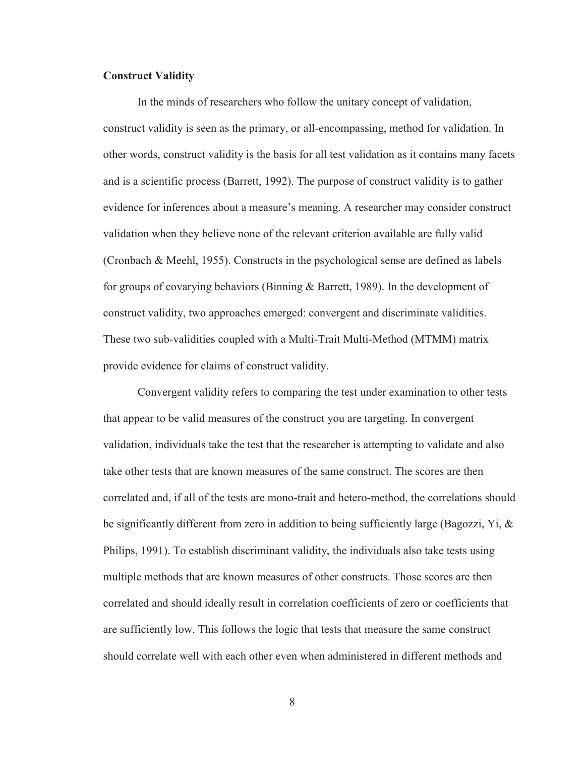#### **Construct Validity**

In the minds of researchers who follow the unitary concept of validation, construct validity is seen as the primary, or all-encompassing, method for validation. In other words, construct validity is the basis for all test validation as it contains many facets and is a scientific process (Barrett, 1992). The purpose of construct validity is to gather evidence for inferences about a measure's meaning. A researcher may consider construct validation when they believe none of the relevant criterion available are fully valid (Cronbach & Meehl, 1955). Constructs in the psychological sense are defined as labels for groups of covarying behaviors (Binning & Barrett, 1989). In the development of construct validity, two approaches emerged: convergent and discriminate validities. These two sub-validities coupled with a Multi-Trait Multi-Method (MTMM) matrix provide evidence for claims of construct validity.

Convergent validity refers to comparing the test under examination to other tests that appear to be valid measures of the construct you are targeting. In convergent validation, individuals take the test that the researcher is attempting to validate and also take other tests that are known measures of the same construct. The scores are then correlated and, if all of the tests are mono-trait and hetero-method, the correlations should be significantly different from zero in addition to being sufficiently large (Bagozzi, Yi, & Philips, 1991). To establish discriminant validity, the individuals also take tests using multiple methods that are known measures of other constructs. Those scores are then correlated and should ideally result in correlation coefficients of zero or coefficients that are sufficiently low. This follows the logic that tests that measure the same construct should correlate well with each other even when administered in different methods and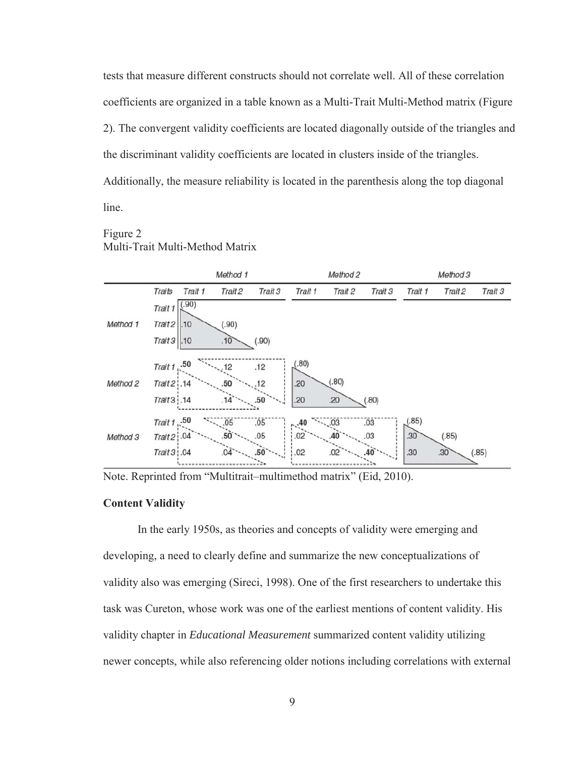tests that measure different constructs should not correlate well. All of these correlation coefficients are organized in a table known as a Multi-Trait Multi-Method matrix (Figure 2). The convergent validity coefficients are located diagonally outside of the triangles and the discriminant validity coefficients are located in clusters inside of the triangles. Additionally, the measure reliability is located in the parenthesis along the top diagonal line.

#### Figure 2 Multi-Trait Multi-Method Matrix



Note. Reprinted from "Multitrait–multimethod matrix" (Eid, 2010).

#### **Content Validity**

In the early 1950s, as theories and concepts of validity were emerging and developing, a need to clearly define and summarize the new conceptualizations of validity also was emerging (Sireci, 1998). One of the first researchers to undertake this task was Cureton, whose work was one of the earliest mentions of content validity. His validity chapter in *Educational Measurement* summarized content validity utilizing newer concepts, while also referencing older notions including correlations with external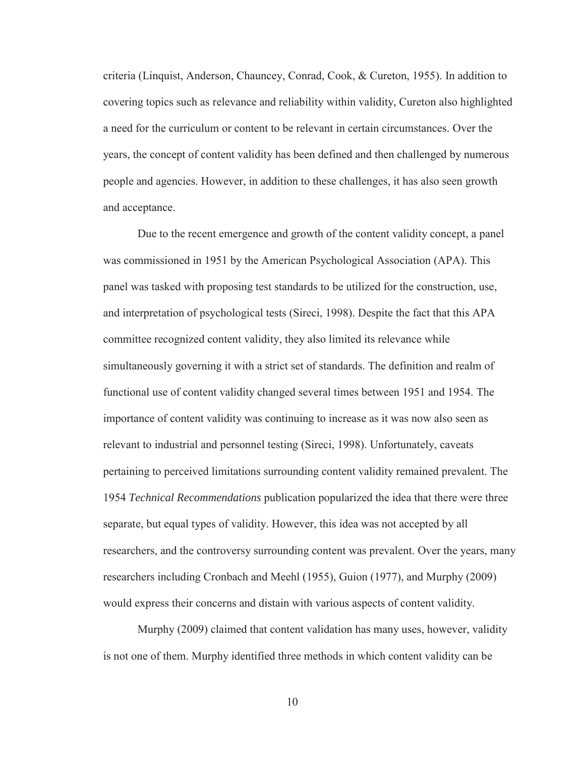criteria (Linquist, Anderson, Chauncey, Conrad, Cook, & Cureton, 1955). In addition to covering topics such as relevance and reliability within validity, Cureton also highlighted a need for the curriculum or content to be relevant in certain circumstances. Over the years, the concept of content validity has been defined and then challenged by numerous people and agencies. However, in addition to these challenges, it has also seen growth and acceptance.

Due to the recent emergence and growth of the content validity concept, a panel was commissioned in 1951 by the American Psychological Association (APA). This panel was tasked with proposing test standards to be utilized for the construction, use, and interpretation of psychological tests (Sireci, 1998). Despite the fact that this APA committee recognized content validity, they also limited its relevance while simultaneously governing it with a strict set of standards. The definition and realm of functional use of content validity changed several times between 1951 and 1954. The importance of content validity was continuing to increase as it was now also seen as relevant to industrial and personnel testing (Sireci, 1998). Unfortunately, caveats pertaining to perceived limitations surrounding content validity remained prevalent. The 1954 *Technical Recommendations* publication popularized the idea that there were three separate, but equal types of validity. However, this idea was not accepted by all researchers, and the controversy surrounding content was prevalent. Over the years, many researchers including Cronbach and Meehl (1955), Guion (1977), and Murphy (2009) would express their concerns and distain with various aspects of content validity.

Murphy (2009) claimed that content validation has many uses, however, validity is not one of them. Murphy identified three methods in which content validity can be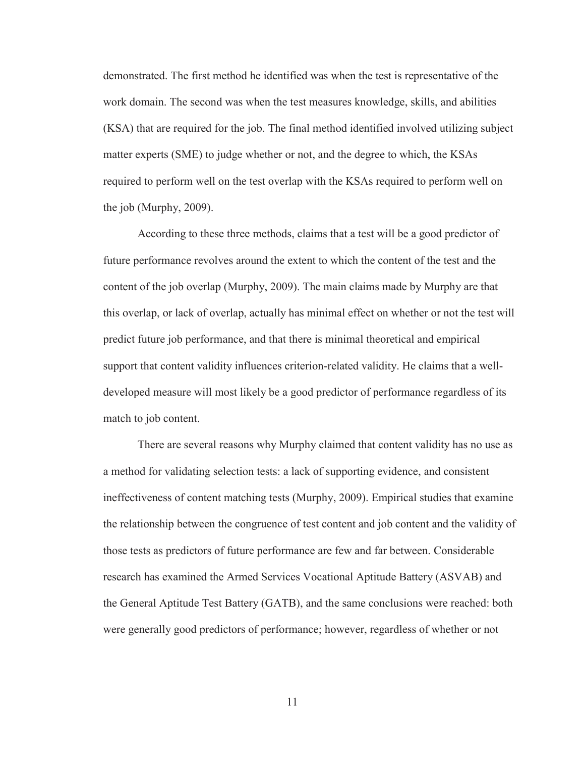demonstrated. The first method he identified was when the test is representative of the work domain. The second was when the test measures knowledge, skills, and abilities (KSA) that are required for the job. The final method identified involved utilizing subject matter experts (SME) to judge whether or not, and the degree to which, the KSAs required to perform well on the test overlap with the KSAs required to perform well on the job (Murphy, 2009).

According to these three methods, claims that a test will be a good predictor of future performance revolves around the extent to which the content of the test and the content of the job overlap (Murphy, 2009). The main claims made by Murphy are that this overlap, or lack of overlap, actually has minimal effect on whether or not the test will predict future job performance, and that there is minimal theoretical and empirical support that content validity influences criterion-related validity. He claims that a welldeveloped measure will most likely be a good predictor of performance regardless of its match to job content.

There are several reasons why Murphy claimed that content validity has no use as a method for validating selection tests: a lack of supporting evidence, and consistent ineffectiveness of content matching tests (Murphy, 2009). Empirical studies that examine the relationship between the congruence of test content and job content and the validity of those tests as predictors of future performance are few and far between. Considerable research has examined the Armed Services Vocational Aptitude Battery (ASVAB) and the General Aptitude Test Battery (GATB), and the same conclusions were reached: both were generally good predictors of performance; however, regardless of whether or not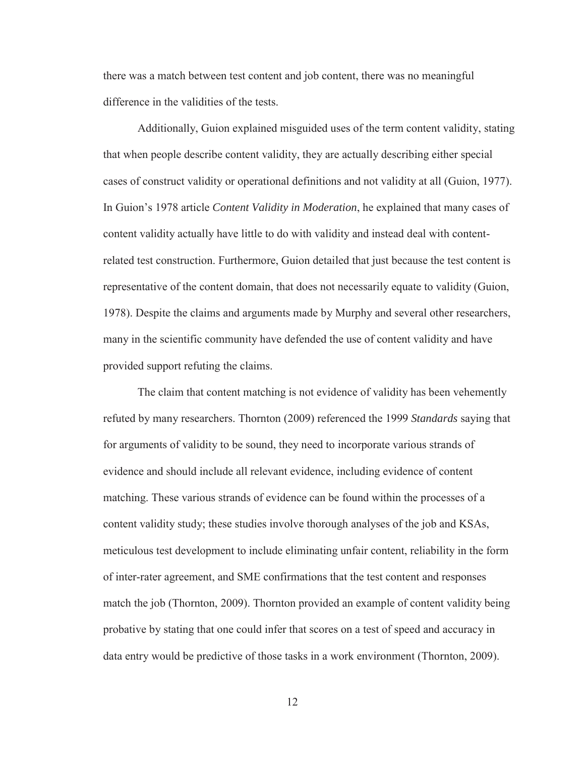there was a match between test content and job content, there was no meaningful difference in the validities of the tests.

Additionally, Guion explained misguided uses of the term content validity, stating that when people describe content validity, they are actually describing either special cases of construct validity or operational definitions and not validity at all (Guion, 1977). In Guion's 1978 article *Content Validity in Moderation*, he explained that many cases of content validity actually have little to do with validity and instead deal with contentrelated test construction. Furthermore, Guion detailed that just because the test content is representative of the content domain, that does not necessarily equate to validity (Guion, 1978). Despite the claims and arguments made by Murphy and several other researchers, many in the scientific community have defended the use of content validity and have provided support refuting the claims.

The claim that content matching is not evidence of validity has been vehemently refuted by many researchers. Thornton (2009) referenced the 1999 *Standards* saying that for arguments of validity to be sound, they need to incorporate various strands of evidence and should include all relevant evidence, including evidence of content matching. These various strands of evidence can be found within the processes of a content validity study; these studies involve thorough analyses of the job and KSAs, meticulous test development to include eliminating unfair content, reliability in the form of inter-rater agreement, and SME confirmations that the test content and responses match the job (Thornton, 2009). Thornton provided an example of content validity being probative by stating that one could infer that scores on a test of speed and accuracy in data entry would be predictive of those tasks in a work environment (Thornton, 2009).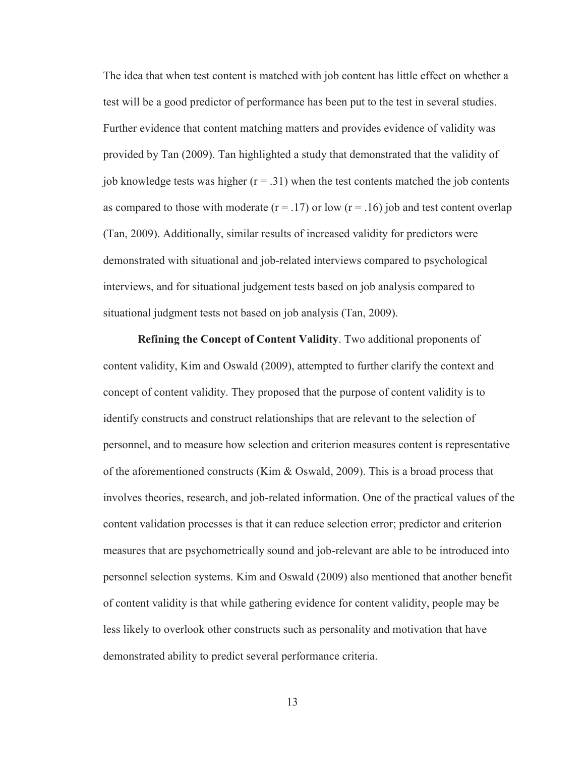The idea that when test content is matched with job content has little effect on whether a test will be a good predictor of performance has been put to the test in several studies. Further evidence that content matching matters and provides evidence of validity was provided by Tan (2009). Tan highlighted a study that demonstrated that the validity of job knowledge tests was higher  $(r = .31)$  when the test contents matched the job contents as compared to those with moderate  $(r = .17)$  or low  $(r = .16)$  job and test content overlap (Tan, 2009). Additionally, similar results of increased validity for predictors were demonstrated with situational and job-related interviews compared to psychological interviews, and for situational judgement tests based on job analysis compared to situational judgment tests not based on job analysis (Tan, 2009).

**Refining the Concept of Content Validity**. Two additional proponents of content validity, Kim and Oswald (2009), attempted to further clarify the context and concept of content validity. They proposed that the purpose of content validity is to identify constructs and construct relationships that are relevant to the selection of personnel, and to measure how selection and criterion measures content is representative of the aforementioned constructs (Kim & Oswald, 2009). This is a broad process that involves theories, research, and job-related information. One of the practical values of the content validation processes is that it can reduce selection error; predictor and criterion measures that are psychometrically sound and job-relevant are able to be introduced into personnel selection systems. Kim and Oswald (2009) also mentioned that another benefit of content validity is that while gathering evidence for content validity, people may be less likely to overlook other constructs such as personality and motivation that have demonstrated ability to predict several performance criteria.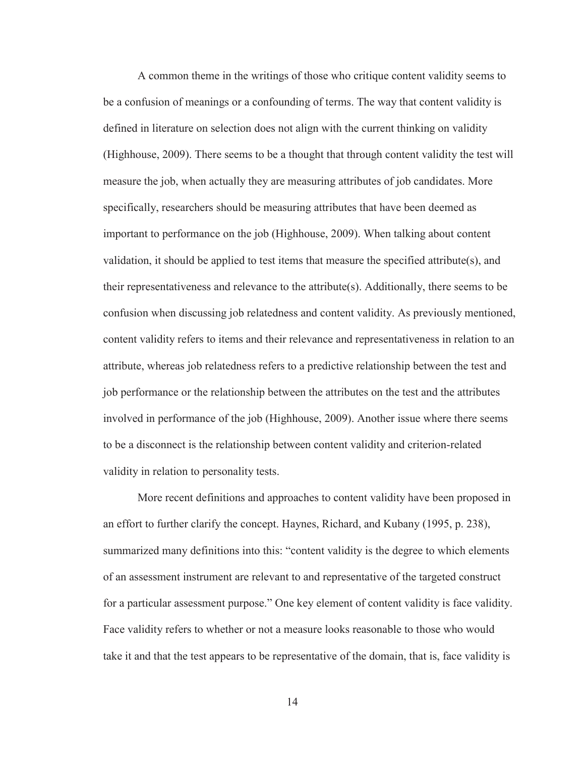A common theme in the writings of those who critique content validity seems to be a confusion of meanings or a confounding of terms. The way that content validity is defined in literature on selection does not align with the current thinking on validity (Highhouse, 2009). There seems to be a thought that through content validity the test will measure the job, when actually they are measuring attributes of job candidates. More specifically, researchers should be measuring attributes that have been deemed as important to performance on the job (Highhouse, 2009). When talking about content validation, it should be applied to test items that measure the specified attribute(s), and their representativeness and relevance to the attribute(s). Additionally, there seems to be confusion when discussing job relatedness and content validity. As previously mentioned, content validity refers to items and their relevance and representativeness in relation to an attribute, whereas job relatedness refers to a predictive relationship between the test and job performance or the relationship between the attributes on the test and the attributes involved in performance of the job (Highhouse, 2009). Another issue where there seems to be a disconnect is the relationship between content validity and criterion-related validity in relation to personality tests.

More recent definitions and approaches to content validity have been proposed in an effort to further clarify the concept. Haynes, Richard, and Kubany (1995, p. 238), summarized many definitions into this: "content validity is the degree to which elements of an assessment instrument are relevant to and representative of the targeted construct for a particular assessment purpose." One key element of content validity is face validity. Face validity refers to whether or not a measure looks reasonable to those who would take it and that the test appears to be representative of the domain, that is, face validity is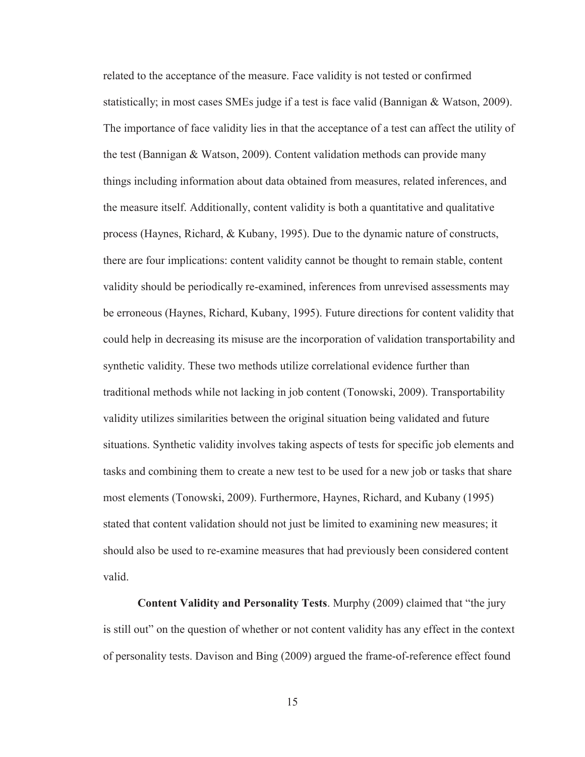related to the acceptance of the measure. Face validity is not tested or confirmed statistically; in most cases SMEs judge if a test is face valid (Bannigan & Watson, 2009). The importance of face validity lies in that the acceptance of a test can affect the utility of the test (Bannigan & Watson, 2009). Content validation methods can provide many things including information about data obtained from measures, related inferences, and the measure itself. Additionally, content validity is both a quantitative and qualitative process (Haynes, Richard, & Kubany, 1995). Due to the dynamic nature of constructs, there are four implications: content validity cannot be thought to remain stable, content validity should be periodically re-examined, inferences from unrevised assessments may be erroneous (Haynes, Richard, Kubany, 1995). Future directions for content validity that could help in decreasing its misuse are the incorporation of validation transportability and synthetic validity. These two methods utilize correlational evidence further than traditional methods while not lacking in job content (Tonowski, 2009). Transportability validity utilizes similarities between the original situation being validated and future situations. Synthetic validity involves taking aspects of tests for specific job elements and tasks and combining them to create a new test to be used for a new job or tasks that share most elements (Tonowski, 2009). Furthermore, Haynes, Richard, and Kubany (1995) stated that content validation should not just be limited to examining new measures; it should also be used to re-examine measures that had previously been considered content valid.

**Content Validity and Personality Tests**. Murphy (2009) claimed that "the jury is still out" on the question of whether or not content validity has any effect in the context of personality tests. Davison and Bing (2009) argued the frame-of-reference effect found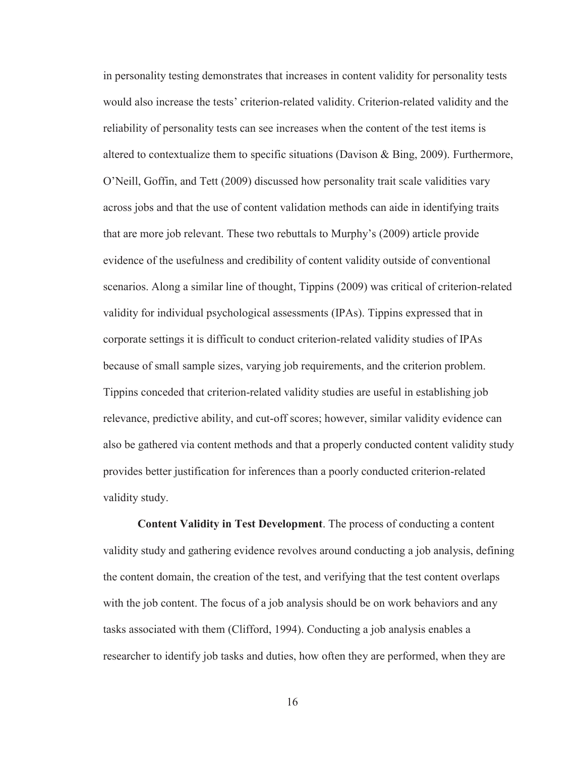in personality testing demonstrates that increases in content validity for personality tests would also increase the tests' criterion-related validity. Criterion-related validity and the reliability of personality tests can see increases when the content of the test items is altered to contextualize them to specific situations (Davison & Bing, 2009). Furthermore, O'Neill, Goffin, and Tett (2009) discussed how personality trait scale validities vary across jobs and that the use of content validation methods can aide in identifying traits that are more job relevant. These two rebuttals to Murphy's (2009) article provide evidence of the usefulness and credibility of content validity outside of conventional scenarios. Along a similar line of thought, Tippins (2009) was critical of criterion-related validity for individual psychological assessments (IPAs). Tippins expressed that in corporate settings it is difficult to conduct criterion-related validity studies of IPAs because of small sample sizes, varying job requirements, and the criterion problem. Tippins conceded that criterion-related validity studies are useful in establishing job relevance, predictive ability, and cut-off scores; however, similar validity evidence can also be gathered via content methods and that a properly conducted content validity study provides better justification for inferences than a poorly conducted criterion-related validity study.

**Content Validity in Test Development**. The process of conducting a content validity study and gathering evidence revolves around conducting a job analysis, defining the content domain, the creation of the test, and verifying that the test content overlaps with the job content. The focus of a job analysis should be on work behaviors and any tasks associated with them (Clifford, 1994). Conducting a job analysis enables a researcher to identify job tasks and duties, how often they are performed, when they are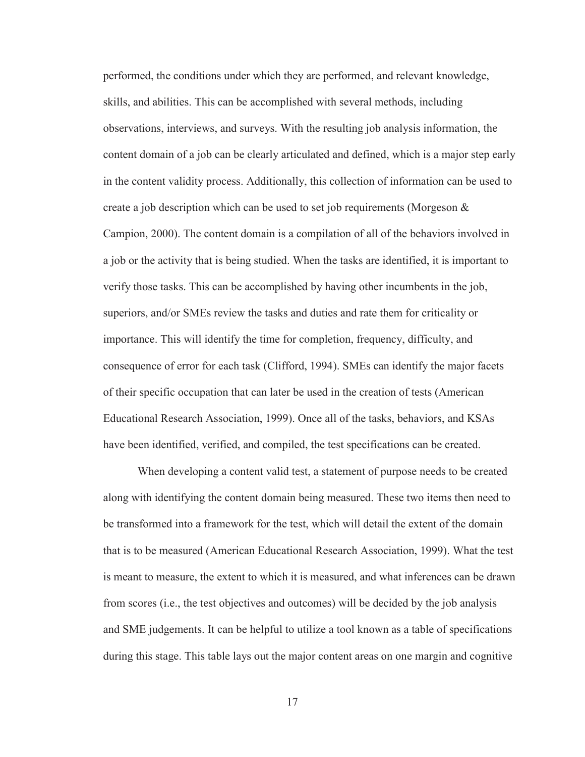performed, the conditions under which they are performed, and relevant knowledge, skills, and abilities. This can be accomplished with several methods, including observations, interviews, and surveys. With the resulting job analysis information, the content domain of a job can be clearly articulated and defined, which is a major step early in the content validity process. Additionally, this collection of information can be used to create a job description which can be used to set job requirements (Morgeson & Campion, 2000). The content domain is a compilation of all of the behaviors involved in a job or the activity that is being studied. When the tasks are identified, it is important to verify those tasks. This can be accomplished by having other incumbents in the job, superiors, and/or SMEs review the tasks and duties and rate them for criticality or importance. This will identify the time for completion, frequency, difficulty, and consequence of error for each task (Clifford, 1994). SMEs can identify the major facets of their specific occupation that can later be used in the creation of tests (American Educational Research Association, 1999). Once all of the tasks, behaviors, and KSAs have been identified, verified, and compiled, the test specifications can be created.

When developing a content valid test, a statement of purpose needs to be created along with identifying the content domain being measured. These two items then need to be transformed into a framework for the test, which will detail the extent of the domain that is to be measured (American Educational Research Association, 1999). What the test is meant to measure, the extent to which it is measured, and what inferences can be drawn from scores (i.e., the test objectives and outcomes) will be decided by the job analysis and SME judgements. It can be helpful to utilize a tool known as a table of specifications during this stage. This table lays out the major content areas on one margin and cognitive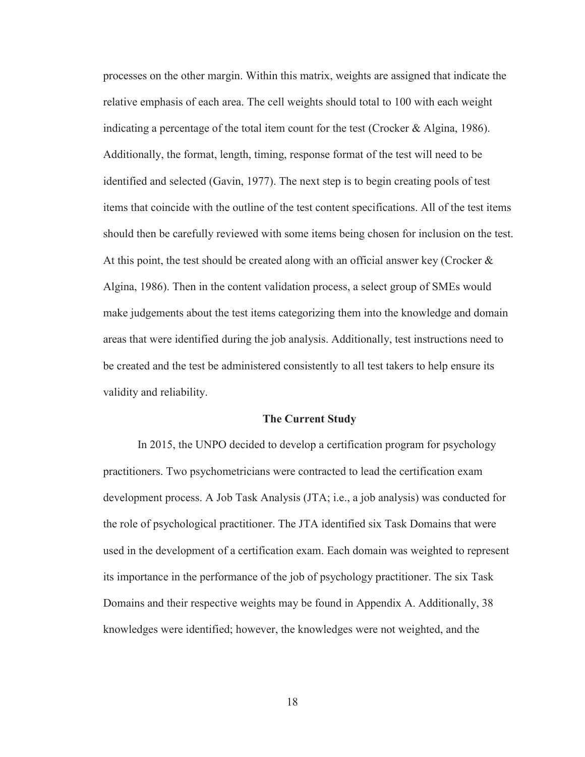processes on the other margin. Within this matrix, weights are assigned that indicate the relative emphasis of each area. The cell weights should total to 100 with each weight indicating a percentage of the total item count for the test (Crocker & Algina, 1986). Additionally, the format, length, timing, response format of the test will need to be identified and selected (Gavin, 1977). The next step is to begin creating pools of test items that coincide with the outline of the test content specifications. All of the test items should then be carefully reviewed with some items being chosen for inclusion on the test. At this point, the test should be created along with an official answer key (Crocker  $\&$ Algina, 1986). Then in the content validation process, a select group of SMEs would make judgements about the test items categorizing them into the knowledge and domain areas that were identified during the job analysis. Additionally, test instructions need to be created and the test be administered consistently to all test takers to help ensure its validity and reliability.

#### **The Current Study**

 In 2015, the UNPO decided to develop a certification program for psychology practitioners. Two psychometricians were contracted to lead the certification exam development process. A Job Task Analysis (JTA; i.e., a job analysis) was conducted for the role of psychological practitioner. The JTA identified six Task Domains that were used in the development of a certification exam. Each domain was weighted to represent its importance in the performance of the job of psychology practitioner. The six Task Domains and their respective weights may be found in Appendix A. Additionally, 38 knowledges were identified; however, the knowledges were not weighted, and the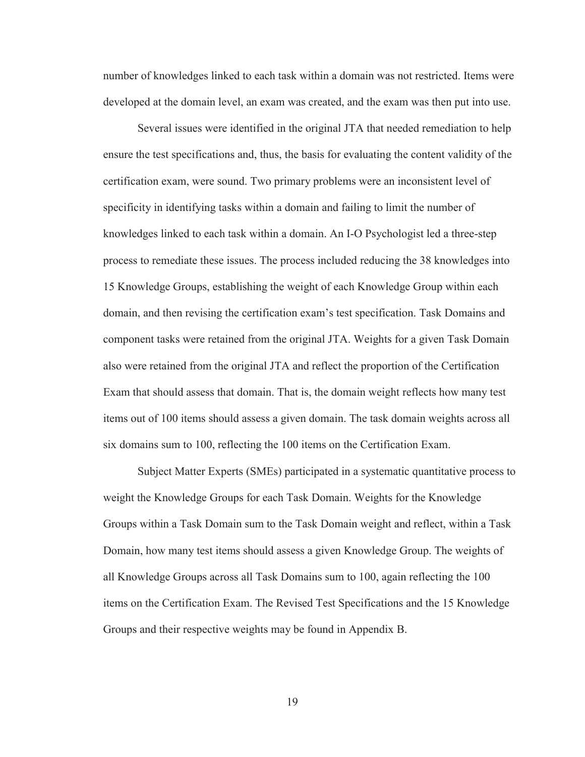number of knowledges linked to each task within a domain was not restricted. Items were developed at the domain level, an exam was created, and the exam was then put into use.

Several issues were identified in the original JTA that needed remediation to help ensure the test specifications and, thus, the basis for evaluating the content validity of the certification exam, were sound. Two primary problems were an inconsistent level of specificity in identifying tasks within a domain and failing to limit the number of knowledges linked to each task within a domain. An I-O Psychologist led a three-step process to remediate these issues. The process included reducing the 38 knowledges into 15 Knowledge Groups, establishing the weight of each Knowledge Group within each domain, and then revising the certification exam's test specification. Task Domains and component tasks were retained from the original JTA. Weights for a given Task Domain also were retained from the original JTA and reflect the proportion of the Certification Exam that should assess that domain. That is, the domain weight reflects how many test items out of 100 items should assess a given domain. The task domain weights across all six domains sum to 100, reflecting the 100 items on the Certification Exam.

Subject Matter Experts (SMEs) participated in a systematic quantitative process to weight the Knowledge Groups for each Task Domain. Weights for the Knowledge Groups within a Task Domain sum to the Task Domain weight and reflect, within a Task Domain, how many test items should assess a given Knowledge Group. The weights of all Knowledge Groups across all Task Domains sum to 100, again reflecting the 100 items on the Certification Exam. The Revised Test Specifications and the 15 Knowledge Groups and their respective weights may be found in Appendix B.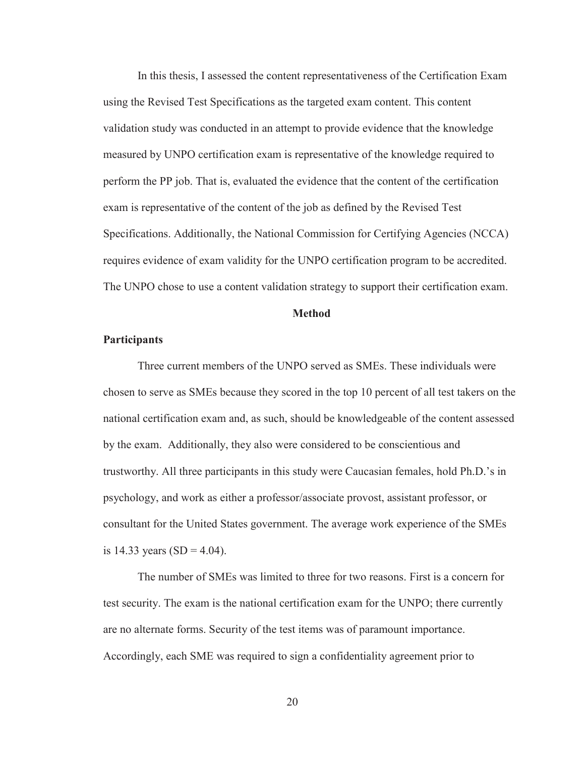In this thesis, I assessed the content representativeness of the Certification Exam using the Revised Test Specifications as the targeted exam content. This content validation study was conducted in an attempt to provide evidence that the knowledge measured by UNPO certification exam is representative of the knowledge required to perform the PP job. That is, evaluated the evidence that the content of the certification exam is representative of the content of the job as defined by the Revised Test Specifications. Additionally, the National Commission for Certifying Agencies (NCCA) requires evidence of exam validity for the UNPO certification program to be accredited. The UNPO chose to use a content validation strategy to support their certification exam.

#### **Method**

#### **Participants**

 Three current members of the UNPO served as SMEs. These individuals were chosen to serve as SMEs because they scored in the top 10 percent of all test takers on the national certification exam and, as such, should be knowledgeable of the content assessed by the exam. Additionally, they also were considered to be conscientious and trustworthy. All three participants in this study were Caucasian females, hold Ph.D.'s in psychology, and work as either a professor/associate provost, assistant professor, or consultant for the United States government. The average work experience of the SMEs is 14.33 years  $(SD = 4.04)$ .

The number of SMEs was limited to three for two reasons. First is a concern for test security. The exam is the national certification exam for the UNPO; there currently are no alternate forms. Security of the test items was of paramount importance. Accordingly, each SME was required to sign a confidentiality agreement prior to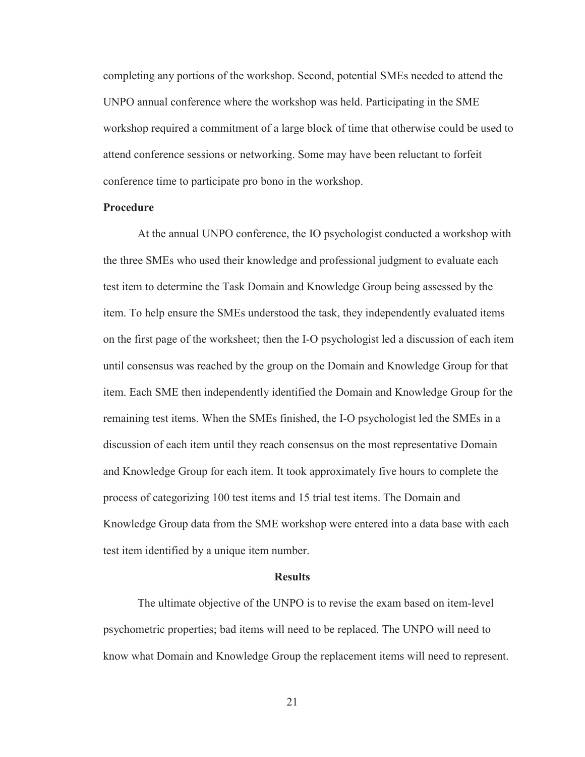completing any portions of the workshop. Second, potential SMEs needed to attend the UNPO annual conference where the workshop was held. Participating in the SME workshop required a commitment of a large block of time that otherwise could be used to attend conference sessions or networking. Some may have been reluctant to forfeit conference time to participate pro bono in the workshop.

#### **Procedure**

At the annual UNPO conference, the IO psychologist conducted a workshop with the three SMEs who used their knowledge and professional judgment to evaluate each test item to determine the Task Domain and Knowledge Group being assessed by the item. To help ensure the SMEs understood the task, they independently evaluated items on the first page of the worksheet; then the I-O psychologist led a discussion of each item until consensus was reached by the group on the Domain and Knowledge Group for that item. Each SME then independently identified the Domain and Knowledge Group for the remaining test items. When the SMEs finished, the I-O psychologist led the SMEs in a discussion of each item until they reach consensus on the most representative Domain and Knowledge Group for each item. It took approximately five hours to complete the process of categorizing 100 test items and 15 trial test items. The Domain and Knowledge Group data from the SME workshop were entered into a data base with each test item identified by a unique item number.

#### **Results**

The ultimate objective of the UNPO is to revise the exam based on item-level psychometric properties; bad items will need to be replaced. The UNPO will need to know what Domain and Knowledge Group the replacement items will need to represent.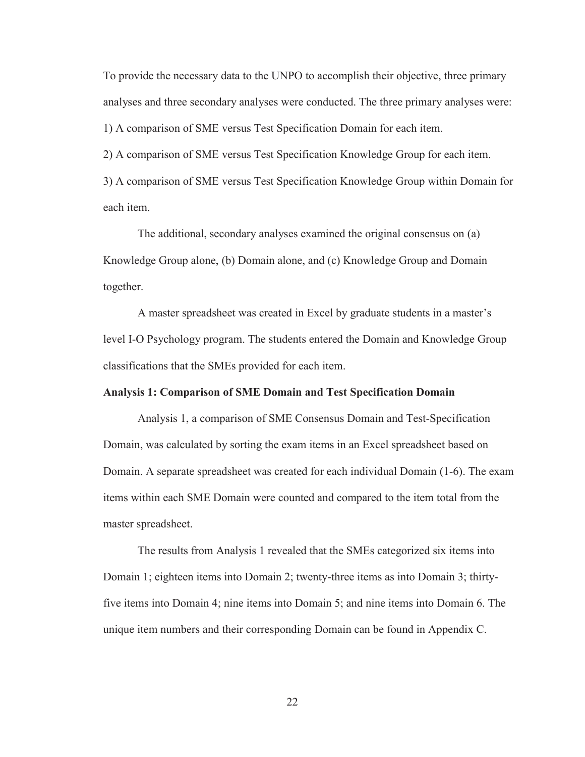To provide the necessary data to the UNPO to accomplish their objective, three primary analyses and three secondary analyses were conducted. The three primary analyses were:

1) A comparison of SME versus Test Specification Domain for each item.

2) A comparison of SME versus Test Specification Knowledge Group for each item.

3) A comparison of SME versus Test Specification Knowledge Group within Domain for each item.

The additional, secondary analyses examined the original consensus on (a) Knowledge Group alone, (b) Domain alone, and (c) Knowledge Group and Domain together.

A master spreadsheet was created in Excel by graduate students in a master's level I-O Psychology program. The students entered the Domain and Knowledge Group classifications that the SMEs provided for each item.

#### **Analysis 1: Comparison of SME Domain and Test Specification Domain**

Analysis 1, a comparison of SME Consensus Domain and Test-Specification Domain, was calculated by sorting the exam items in an Excel spreadsheet based on Domain. A separate spreadsheet was created for each individual Domain (1-6). The exam items within each SME Domain were counted and compared to the item total from the master spreadsheet.

The results from Analysis 1 revealed that the SMEs categorized six items into Domain 1; eighteen items into Domain 2; twenty-three items as into Domain 3; thirtyfive items into Domain 4; nine items into Domain 5; and nine items into Domain 6. The unique item numbers and their corresponding Domain can be found in Appendix C.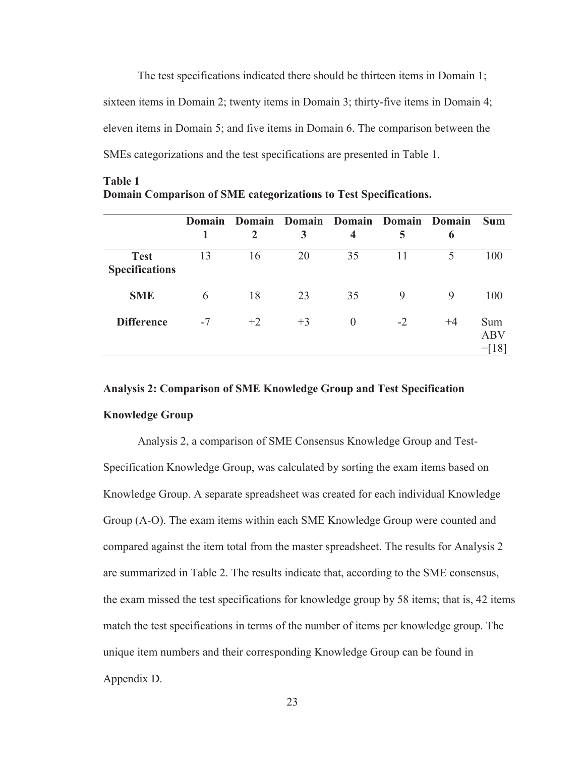The test specifications indicated there should be thirteen items in Domain 1; sixteen items in Domain 2; twenty items in Domain 3; thirty-five items in Domain 4; eleven items in Domain 5; and five items in Domain 6. The comparison between the SMEs categorizations and the test specifications are presented in Table 1.

|                                      | <b>Domain</b> |      |      | Domain Domain Domain Domain Domain |      |      | <b>Sum</b>                    |
|--------------------------------------|---------------|------|------|------------------------------------|------|------|-------------------------------|
|                                      |               |      | 3    | 4                                  | 5    | 6    |                               |
| <b>Test</b><br><b>Specifications</b> | 13            | 16   | 20   | 35                                 | 11   | 5    | 100                           |
| <b>SME</b>                           | 6             | 18   | 23   | 35                                 | 9    | 9    | 100                           |
| <b>Difference</b>                    | $-7$          | $+2$ | $+3$ | $\Omega$                           | $-2$ | $+4$ | Sum<br><b>ABV</b><br>$=$ [18] |

#### **Table 1 Domain Comparison of SME categorizations to Test Specifications.**

# **Analysis 2: Comparison of SME Knowledge Group and Test Specification**

# **Knowledge Group**

Analysis 2, a comparison of SME Consensus Knowledge Group and Test-Specification Knowledge Group, was calculated by sorting the exam items based on Knowledge Group. A separate spreadsheet was created for each individual Knowledge Group (A-O). The exam items within each SME Knowledge Group were counted and compared against the item total from the master spreadsheet. The results for Analysis 2 are summarized in Table 2. The results indicate that, according to the SME consensus, the exam missed the test specifications for knowledge group by 58 items; that is, 42 items match the test specifications in terms of the number of items per knowledge group. The unique item numbers and their corresponding Knowledge Group can be found in Appendix D.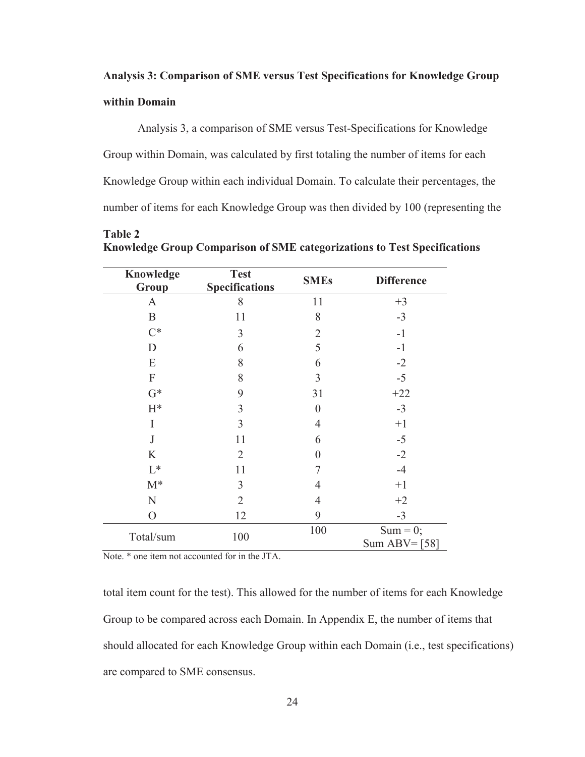# **Analysis 3: Comparison of SME versus Test Specifications for Knowledge Group within Domain**

Analysis 3, a comparison of SME versus Test-Specifications for Knowledge Group within Domain, was calculated by first totaling the number of items for each Knowledge Group within each individual Domain. To calculate their percentages, the number of items for each Knowledge Group was then divided by 100 (representing the

| Knowledge<br>Group        | <b>Test</b><br><b>Specifications</b> | <b>SMEs</b>    | <b>Difference</b>             |
|---------------------------|--------------------------------------|----------------|-------------------------------|
| A                         | 8                                    | 11             | $+3$                          |
| $\mathbf B$               | 11                                   | 8              | $-3$                          |
| $C^*$                     | 3                                    | $\overline{2}$ | $-1$                          |
| D                         | 6                                    | 5              | $-1$                          |
| E                         | 8                                    | 6              | $-2$                          |
| $\boldsymbol{\mathrm{F}}$ | 8                                    | 3              | $-5$                          |
| $G^*$                     | 9                                    | 31             | $+22$                         |
| $H^*$                     | 3                                    | $\overline{0}$ | $-3$                          |
| I                         | 3                                    | $\overline{4}$ | $+1$                          |
| J                         | 11                                   | 6              | $-5$                          |
| K                         | $\overline{2}$                       | $\overline{0}$ | $-2$                          |
| $L^*$                     | 11                                   | $\overline{7}$ | $-4$                          |
| $M^*$                     | 3                                    | $\overline{4}$ | $+1$                          |
| N                         | $\overline{2}$                       | $\overline{4}$ | $+2$                          |
| $\mathcal{O}$             | 12                                   | 9              | $-3$                          |
| Total/sum                 | 100                                  | 100            | $Sum = 0;$<br>Sum ABV= $[58]$ |

**Table 2 Knowledge Group Comparison of SME categorizations to Test Specifications** 

Note. \* one item not accounted for in the JTA.

total item count for the test). This allowed for the number of items for each Knowledge Group to be compared across each Domain. In Appendix E, the number of items that should allocated for each Knowledge Group within each Domain (i.e., test specifications) are compared to SME consensus.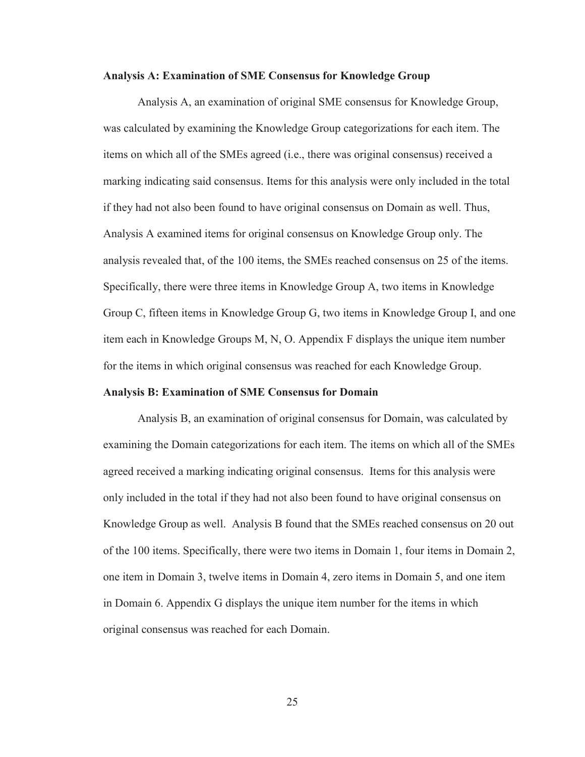#### **Analysis A: Examination of SME Consensus for Knowledge Group**

Analysis A, an examination of original SME consensus for Knowledge Group, was calculated by examining the Knowledge Group categorizations for each item. The items on which all of the SMEs agreed (i.e., there was original consensus) received a marking indicating said consensus. Items for this analysis were only included in the total if they had not also been found to have original consensus on Domain as well. Thus, Analysis A examined items for original consensus on Knowledge Group only. The analysis revealed that, of the 100 items, the SMEs reached consensus on 25 of the items. Specifically, there were three items in Knowledge Group A, two items in Knowledge Group C, fifteen items in Knowledge Group G, two items in Knowledge Group I, and one item each in Knowledge Groups M, N, O. Appendix F displays the unique item number for the items in which original consensus was reached for each Knowledge Group.

#### **Analysis B: Examination of SME Consensus for Domain**

Analysis B, an examination of original consensus for Domain, was calculated by examining the Domain categorizations for each item. The items on which all of the SMEs agreed received a marking indicating original consensus. Items for this analysis were only included in the total if they had not also been found to have original consensus on Knowledge Group as well. Analysis B found that the SMEs reached consensus on 20 out of the 100 items. Specifically, there were two items in Domain 1, four items in Domain 2, one item in Domain 3, twelve items in Domain 4, zero items in Domain 5, and one item in Domain 6. Appendix G displays the unique item number for the items in which original consensus was reached for each Domain.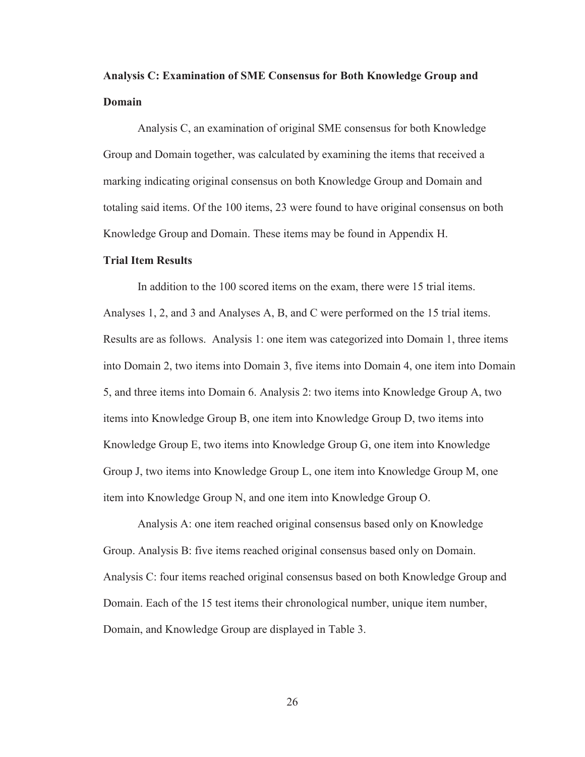# **Analysis C: Examination of SME Consensus for Both Knowledge Group and Domain**

Analysis C, an examination of original SME consensus for both Knowledge Group and Domain together, was calculated by examining the items that received a marking indicating original consensus on both Knowledge Group and Domain and totaling said items. Of the 100 items, 23 were found to have original consensus on both Knowledge Group and Domain. These items may be found in Appendix H.

#### **Trial Item Results**

In addition to the 100 scored items on the exam, there were 15 trial items. Analyses 1, 2, and 3 and Analyses A, B, and C were performed on the 15 trial items. Results are as follows. Analysis 1: one item was categorized into Domain 1, three items into Domain 2, two items into Domain 3, five items into Domain 4, one item into Domain 5, and three items into Domain 6. Analysis 2: two items into Knowledge Group A, two items into Knowledge Group B, one item into Knowledge Group D, two items into Knowledge Group E, two items into Knowledge Group G, one item into Knowledge Group J, two items into Knowledge Group L, one item into Knowledge Group M, one item into Knowledge Group N, and one item into Knowledge Group O.

 Analysis A: one item reached original consensus based only on Knowledge Group. Analysis B: five items reached original consensus based only on Domain. Analysis C: four items reached original consensus based on both Knowledge Group and Domain. Each of the 15 test items their chronological number, unique item number, Domain, and Knowledge Group are displayed in Table 3.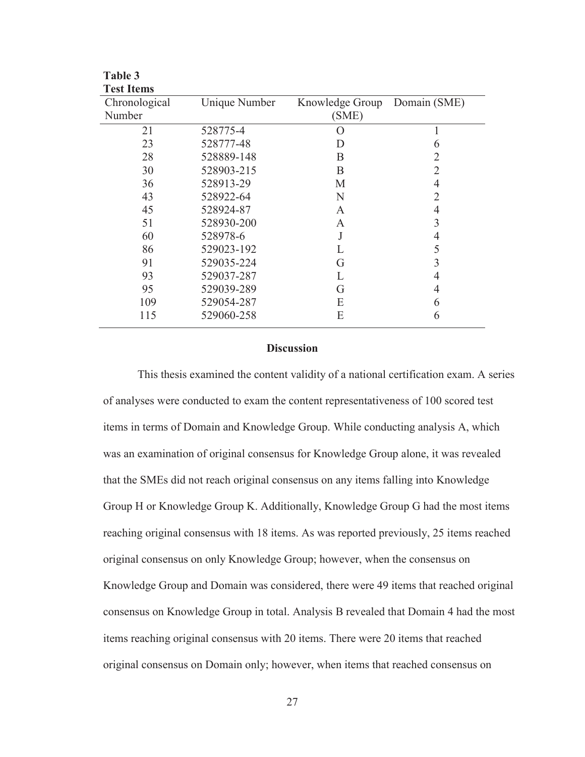| <b>Test Items</b> |               |                  |                |
|-------------------|---------------|------------------|----------------|
| Chronological     | Unique Number | Knowledge Group  | Domain (SME)   |
| Number            |               | (SME)            |                |
| 21                | 528775-4      | $\left( \right)$ |                |
| 23                | 528777-48     | D                | 6              |
| 28                | 528889-148    | B                | 2              |
| 30                | 528903-215    | B                | 2              |
| 36                | 528913-29     | M                | $\overline{4}$ |
| 43                | 528922-64     | N                | 2              |
| 45                | 528924-87     | A                | 4              |
| 51                | 528930-200    | A                | 3              |
| 60                | 528978-6      |                  | 4              |
| 86                | 529023-192    |                  | 5              |
| 91                | 529035-224    | G                | 3              |
| 93                | 529037-287    |                  | 4              |
| 95                | 529039-289    | G                | $\overline{4}$ |
| 109               | 529054-287    | Е                | 6              |
| 115               | 529060-258    | E                | 6              |

**Table 3** 

#### **Discussion**

This thesis examined the content validity of a national certification exam. A series of analyses were conducted to exam the content representativeness of 100 scored test items in terms of Domain and Knowledge Group. While conducting analysis A, which was an examination of original consensus for Knowledge Group alone, it was revealed that the SMEs did not reach original consensus on any items falling into Knowledge Group H or Knowledge Group K. Additionally, Knowledge Group G had the most items reaching original consensus with 18 items. As was reported previously, 25 items reached original consensus on only Knowledge Group; however, when the consensus on Knowledge Group and Domain was considered, there were 49 items that reached original consensus on Knowledge Group in total. Analysis B revealed that Domain 4 had the most items reaching original consensus with 20 items. There were 20 items that reached original consensus on Domain only; however, when items that reached consensus on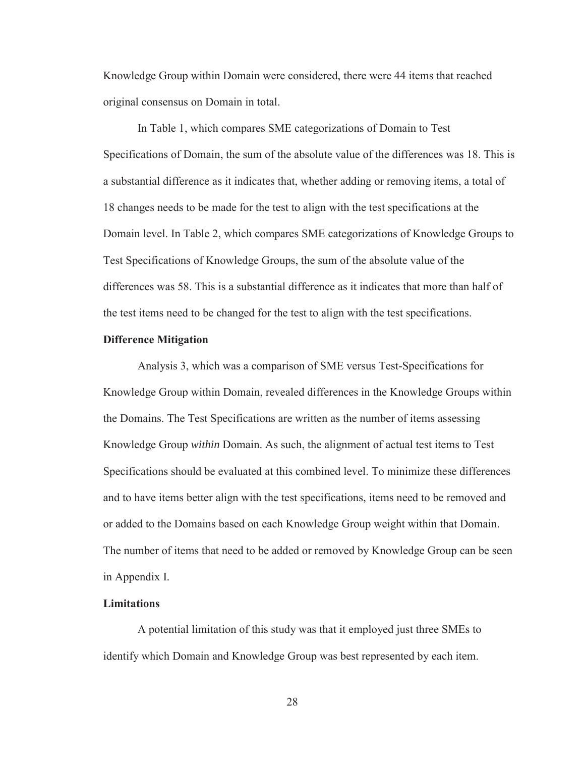Knowledge Group within Domain were considered, there were 44 items that reached original consensus on Domain in total.

 In Table 1, which compares SME categorizations of Domain to Test Specifications of Domain, the sum of the absolute value of the differences was 18. This is a substantial difference as it indicates that, whether adding or removing items, a total of 18 changes needs to be made for the test to align with the test specifications at the Domain level. In Table 2, which compares SME categorizations of Knowledge Groups to Test Specifications of Knowledge Groups, the sum of the absolute value of the differences was 58. This is a substantial difference as it indicates that more than half of the test items need to be changed for the test to align with the test specifications.

#### **Difference Mitigation**

 Analysis 3, which was a comparison of SME versus Test-Specifications for Knowledge Group within Domain, revealed differences in the Knowledge Groups within the Domains. The Test Specifications are written as the number of items assessing Knowledge Group *within* Domain. As such, the alignment of actual test items to Test Specifications should be evaluated at this combined level. To minimize these differences and to have items better align with the test specifications, items need to be removed and or added to the Domains based on each Knowledge Group weight within that Domain. The number of items that need to be added or removed by Knowledge Group can be seen in Appendix I.

#### **Limitations**

A potential limitation of this study was that it employed just three SMEs to identify which Domain and Knowledge Group was best represented by each item.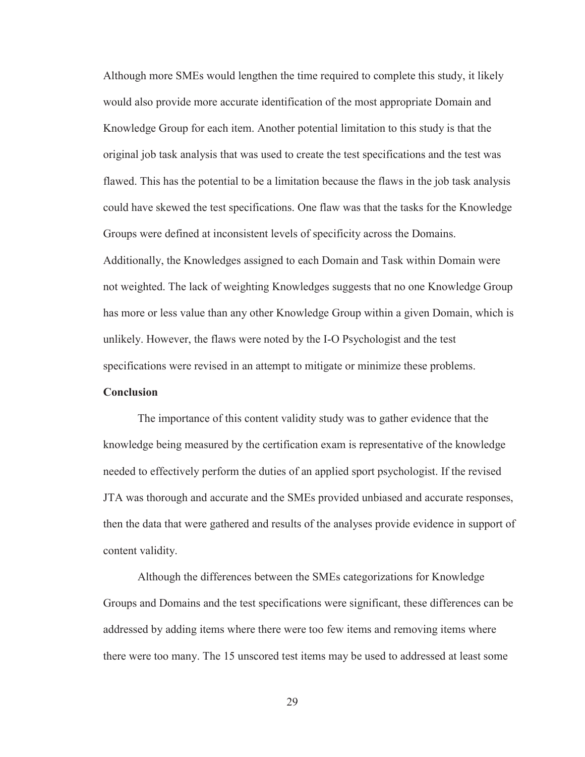Although more SMEs would lengthen the time required to complete this study, it likely would also provide more accurate identification of the most appropriate Domain and Knowledge Group for each item. Another potential limitation to this study is that the original job task analysis that was used to create the test specifications and the test was flawed. This has the potential to be a limitation because the flaws in the job task analysis could have skewed the test specifications. One flaw was that the tasks for the Knowledge Groups were defined at inconsistent levels of specificity across the Domains. Additionally, the Knowledges assigned to each Domain and Task within Domain were not weighted. The lack of weighting Knowledges suggests that no one Knowledge Group has more or less value than any other Knowledge Group within a given Domain, which is unlikely. However, the flaws were noted by the I-O Psychologist and the test

specifications were revised in an attempt to mitigate or minimize these problems.

#### **Conclusion**

The importance of this content validity study was to gather evidence that the knowledge being measured by the certification exam is representative of the knowledge needed to effectively perform the duties of an applied sport psychologist. If the revised JTA was thorough and accurate and the SMEs provided unbiased and accurate responses, then the data that were gathered and results of the analyses provide evidence in support of content validity.

Although the differences between the SMEs categorizations for Knowledge Groups and Domains and the test specifications were significant, these differences can be addressed by adding items where there were too few items and removing items where there were too many. The 15 unscored test items may be used to addressed at least some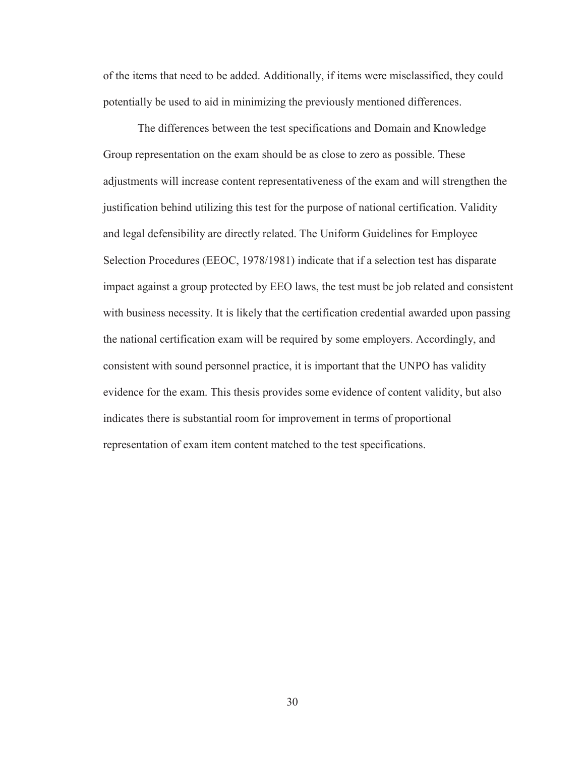of the items that need to be added. Additionally, if items were misclassified, they could potentially be used to aid in minimizing the previously mentioned differences.

The differences between the test specifications and Domain and Knowledge Group representation on the exam should be as close to zero as possible. These adjustments will increase content representativeness of the exam and will strengthen the justification behind utilizing this test for the purpose of national certification. Validity and legal defensibility are directly related. The Uniform Guidelines for Employee Selection Procedures (EEOC, 1978/1981) indicate that if a selection test has disparate impact against a group protected by EEO laws, the test must be job related and consistent with business necessity. It is likely that the certification credential awarded upon passing the national certification exam will be required by some employers. Accordingly, and consistent with sound personnel practice, it is important that the UNPO has validity evidence for the exam. This thesis provides some evidence of content validity, but also indicates there is substantial room for improvement in terms of proportional representation of exam item content matched to the test specifications.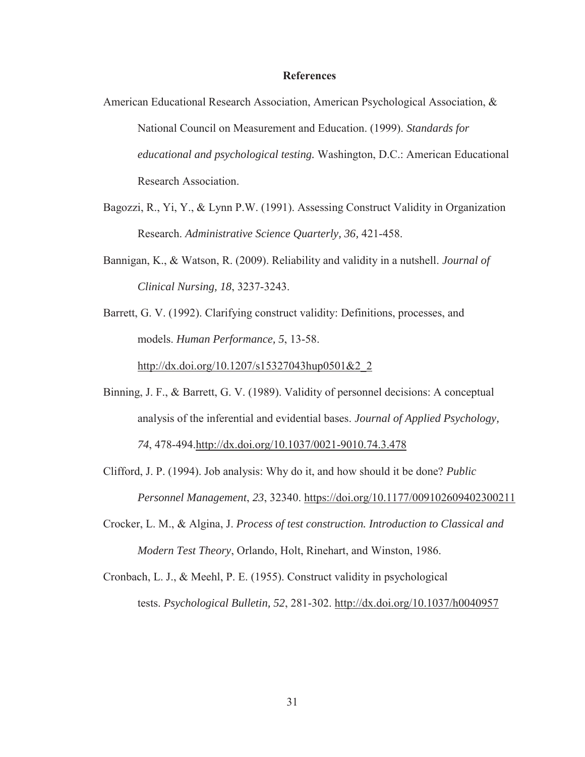#### **References**

- American Educational Research Association, American Psychological Association, & National Council on Measurement and Education. (1999). *Standards for educational and psychological testing.* Washington, D.C.: American Educational Research Association.
- Bagozzi, R., Yi, Y., & Lynn P.W. (1991). Assessing Construct Validity in Organization Research. *Administrative Science Quarterly, 36,* 421-458.
- Bannigan, K., & Watson, R. (2009). Reliability and validity in a nutshell. *Journal of Clinical Nursing, 18*, 3237-3243.
- Barrett, G. V. (1992). Clarifying construct validity: Definitions, processes, and models. *Human Performance, 5*, 13-58.

http://dx.doi.org/10.1207/s15327043hup0501&2\_2

- Binning, J. F., & Barrett, G. V. (1989). Validity of personnel decisions: A conceptual analysis of the inferential and evidential bases. *Journal of Applied Psychology, 74*, 478-494.http://dx.doi.org/10.1037/0021-9010.74.3.478
- Clifford, J. P. (1994). Job analysis: Why do it, and how should it be done? *Public Personnel Management*, *23*, 32340. https://doi.org/10.1177/009102609402300211
- Crocker, L. M., & Algina, J. *Process of test construction. Introduction to Classical and Modern Test Theory*, Orlando, Holt, Rinehart, and Winston, 1986.
- Cronbach, L. J., & Meehl, P. E. (1955). Construct validity in psychological tests. *Psychological Bulletin, 52*, 281-302. http://dx.doi.org/10.1037/h0040957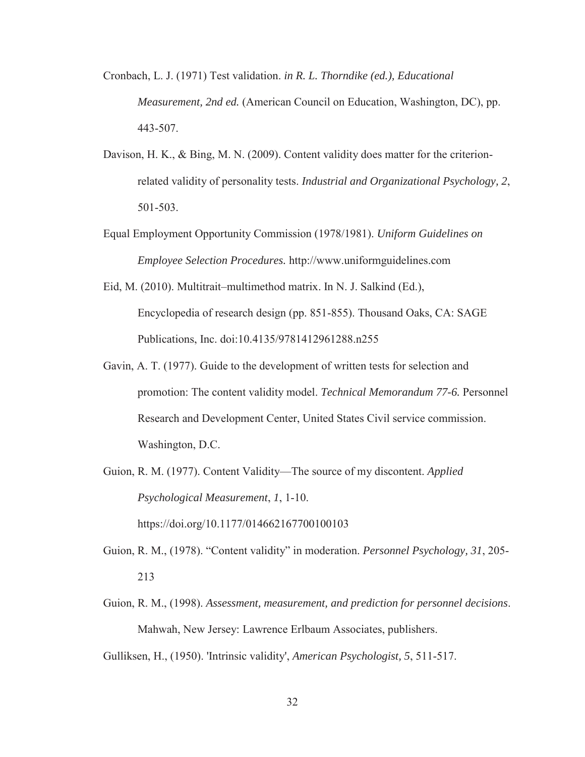- Cronbach, L. J. (1971) Test validation. *in R. L. Thorndike (ed.), Educational Measurement, 2nd ed.* (American Council on Education, Washington, DC), pp. 443-507.
- Davison, H. K., & Bing, M. N. (2009). Content validity does matter for the criterion related validity of personality tests. *Industrial and Organizational Psychology, 2*, 501-503.
- Equal Employment Opportunity Commission (1978/1981). *Uniform Guidelines on Employee Selection Procedures.* http://www.uniformguidelines.com
- Eid, M. (2010). Multitrait–multimethod matrix. In N. J. Salkind (Ed.), Encyclopedia of research design (pp. 851-855). Thousand Oaks, CA: SAGE Publications, Inc. doi:10.4135/9781412961288.n255
- Gavin, A. T. (1977). Guide to the development of written tests for selection and promotion: The content validity model. *Technical Memorandum 77-6.* Personnel Research and Development Center, United States Civil service commission. Washington, D.C.
- Guion, R. M. (1977). Content Validity—The source of my discontent. *Applied Psychological Measurement*, *1*, 1-10. https://doi.org/10.1177/014662167700100103
- Guion, R. M., (1978). "Content validity" in moderation. *Personnel Psychology, 31*, 205- 213
- Guion, R. M., (1998). *Assessment, measurement, and prediction for personnel decisions*. Mahwah, New Jersey: Lawrence Erlbaum Associates, publishers.

Gulliksen, H., (1950). 'Intrinsic validity', *American Psychologist, 5*, 511-517.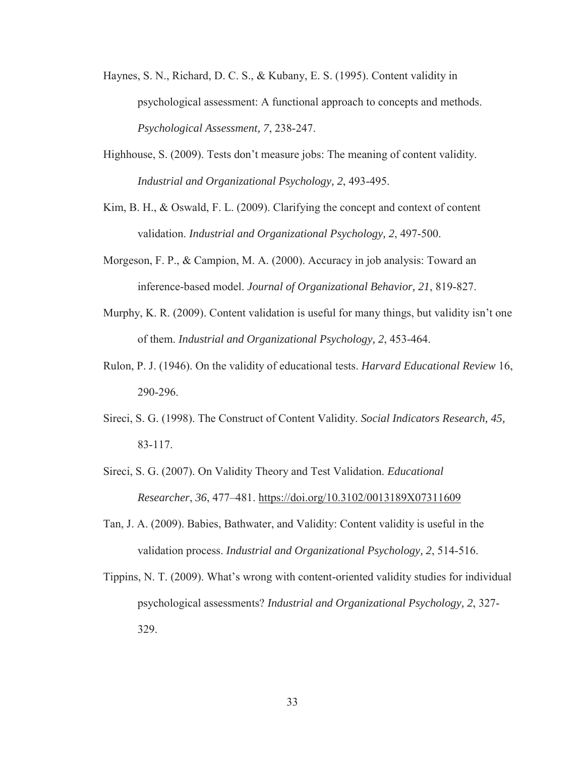- Haynes, S. N., Richard, D. C. S., & Kubany, E. S. (1995). Content validity in psychological assessment: A functional approach to concepts and methods. *Psychological Assessment, 7*, 238-247.
- Highhouse, S. (2009). Tests don't measure jobs: The meaning of content validity. *Industrial and Organizational Psychology, 2*, 493-495.
- Kim, B. H., & Oswald, F. L. (2009). Clarifying the concept and context of content validation. *Industrial and Organizational Psychology, 2*, 497-500.
- Morgeson, F. P., & Campion, M. A. (2000). Accuracy in job analysis: Toward an inference-based model. *Journal of Organizational Behavior, 21*, 819-827.
- Murphy, K. R. (2009). Content validation is useful for many things, but validity isn't one of them. *Industrial and Organizational Psychology, 2*, 453-464.
- Rulon, P. J. (1946). On the validity of educational tests. *Harvard Educational Review* 16, 290-296.
- Sireci, S. G. (1998). The Construct of Content Validity. *Social Indicators Research, 45,* 83-117.
- Sireci, S. G. (2007). On Validity Theory and Test Validation. *Educational Researcher*, *36*, 477–481. https://doi.org/10.3102/0013189X07311609
- Tan, J. A. (2009). Babies, Bathwater, and Validity: Content validity is useful in the validation process. *Industrial and Organizational Psychology, 2*, 514-516.
- Tippins, N. T. (2009). What's wrong with content-oriented validity studies for individual psychological assessments? *Industrial and Organizational Psychology, 2*, 327- 329.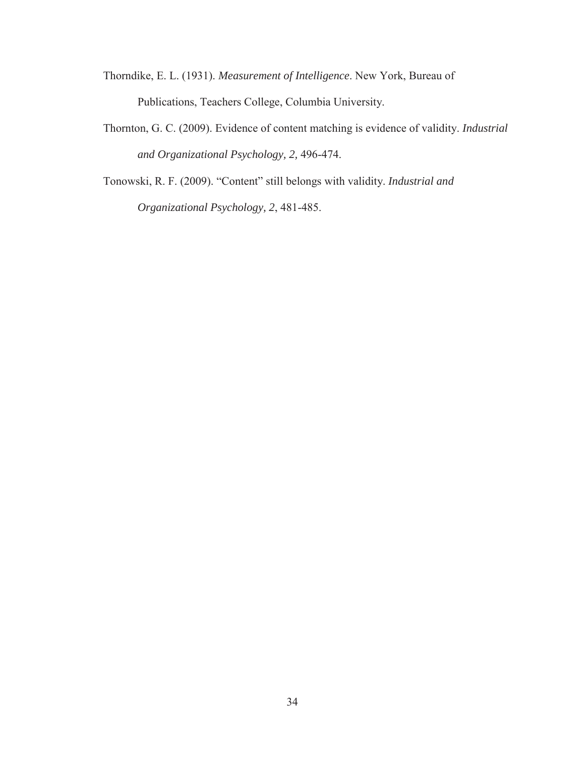- Thorndike, E. L. (1931). *Measurement of Intelligence*. New York, Bureau of Publications, Teachers College, Columbia University.
- Thornton, G. C. (2009). Evidence of content matching is evidence of validity. *Industrial and Organizational Psychology, 2,* 496-474.

Tonowski, R. F. (2009). "Content" still belongs with validity. *Industrial and Organizational Psychology, 2*, 481-485.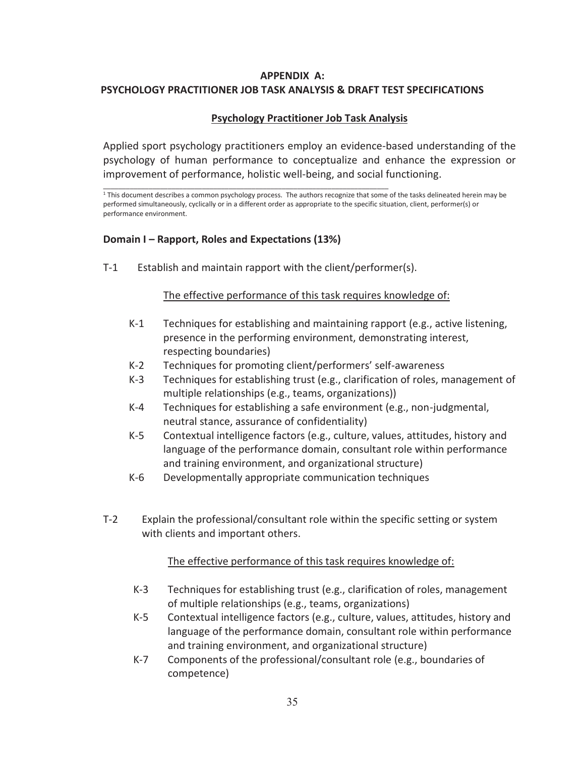# **APPENDIX A: PSYCHOLOGY PRACTITIONER JOB TASK ANALYSIS & DRAFT TEST SPECIFICATIONS**

# **Psychology Practitioner Job Task Analysis**

Applied sport psychology practitioners employ an evidence-based understanding of the psychology of human performance to conceptualize and enhance the expression or improvement of performance, holistic well-being, and social functioning.

<sup>1</sup> This document describes a common psychology process. The authors recognize that some of the tasks delineated herein may be performed simultaneously, cyclically or in a different order as appropriate to the specific situation, client, performer(s) or performance environment.

### **Domain I – Rapport, Roles and Expectations (13%)**

T-1 Establish and maintain rapport with the client/performer(s).

#### The effective performance of this task requires knowledge of:

- K-1 Techniques for establishing and maintaining rapport (e.g., active listening, presence in the performing environment, demonstrating interest, respecting boundaries)
- K-2 Techniques for promoting client/performers' self-awareness
- K-3 Techniques for establishing trust (e.g., clarification of roles, management of multiple relationships (e.g., teams, organizations))
- K-4 Techniques for establishing a safe environment (e.g., non-judgmental, neutral stance, assurance of confidentiality)
- K-5 Contextual intelligence factors (e.g., culture, values, attitudes, history and language of the performance domain, consultant role within performance and training environment, and organizational structure)
- K-6 Developmentally appropriate communication techniques
- T-2 Explain the professional/consultant role within the specific setting or system with clients and important others.

- K-3 Techniques for establishing trust (e.g., clarification of roles, management of multiple relationships (e.g., teams, organizations)
- K-5 Contextual intelligence factors (e.g., culture, values, attitudes, history and language of the performance domain, consultant role within performance and training environment, and organizational structure)
- K-7 Components of the professional/consultant role (e.g., boundaries of competence)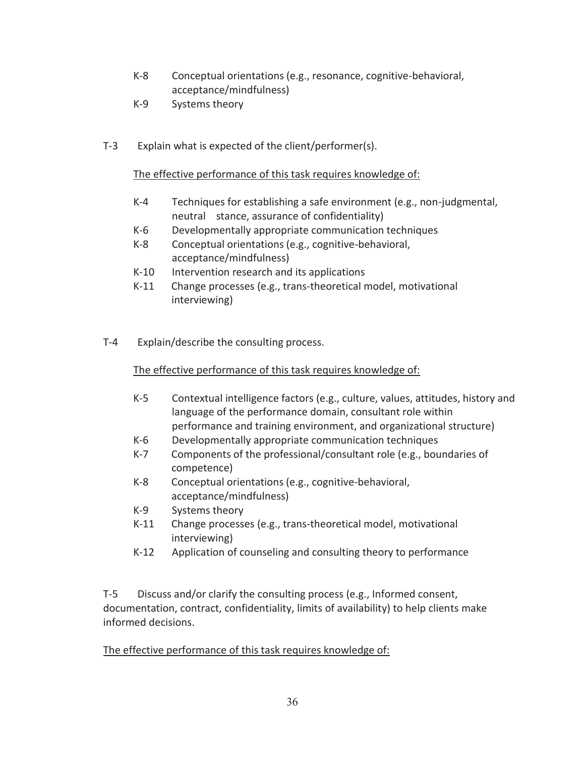- K-8 Conceptual orientations (e.g., resonance, cognitive-behavioral, acceptance/mindfulness)
- K-9 Systems theory
- T-3 Explain what is expected of the client/performer(s).

- K-4 Techniques for establishing a safe environment (e.g., non-judgmental, neutral stance, assurance of confidentiality)
- K-6 Developmentally appropriate communication techniques
- K-8 Conceptual orientations (e.g., cognitive-behavioral, acceptance/mindfulness)
- K-10 Intervention research and its applications
- K-11 Change processes (e.g., trans-theoretical model, motivational interviewing)
- T-4 Explain/describe the consulting process.

### The effective performance of this task requires knowledge of:

- K-5 Contextual intelligence factors (e.g., culture, values, attitudes, history and language of the performance domain, consultant role within performance and training environment, and organizational structure)
- K-6 Developmentally appropriate communication techniques
- K-7 Components of the professional/consultant role (e.g., boundaries of competence)
- K-8 Conceptual orientations (e.g., cognitive-behavioral, acceptance/mindfulness)
- K-9 Systems theory
- K-11 Change processes (e.g., trans-theoretical model, motivational interviewing)
- K-12 Application of counseling and consulting theory to performance

T-5 Discuss and/or clarify the consulting process (e.g., Informed consent, documentation, contract, confidentiality, limits of availability) to help clients make informed decisions.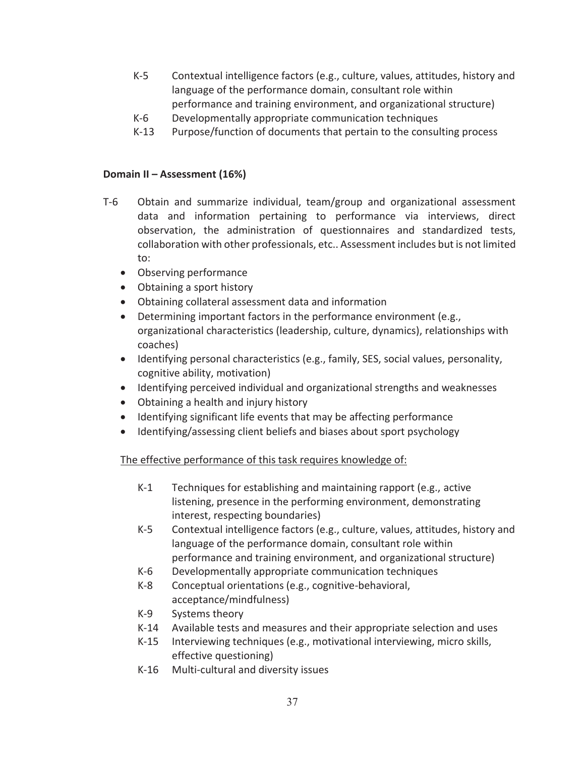- K-5 Contextual intelligence factors (e.g., culture, values, attitudes, history and language of the performance domain, consultant role within performance and training environment, and organizational structure)
- K-6 Developmentally appropriate communication techniques
- K-13 Purpose/function of documents that pertain to the consulting process

#### **Domain II – Assessment (16%)**

- T-6 Obtain and summarize individual, team/group and organizational assessment data and information pertaining to performance via interviews, direct observation, the administration of questionnaires and standardized tests, collaboration with other professionals, etc.. Assessment includes but is not limited to:
	- Observing performance
	- Obtaining a sport history
	- Obtaining collateral assessment data and information
	- Determining important factors in the performance environment (e.g., organizational characteristics (leadership, culture, dynamics), relationships with coaches)
	- Identifying personal characteristics (e.g., family, SES, social values, personality, cognitive ability, motivation)
	- Identifying perceived individual and organizational strengths and weaknesses
	- Obtaining a health and injury history
	- Identifying significant life events that may be affecting performance
	- Identifying/assessing client beliefs and biases about sport psychology

- K-1 Techniques for establishing and maintaining rapport (e.g., active listening, presence in the performing environment, demonstrating interest, respecting boundaries)
- K-5 Contextual intelligence factors (e.g., culture, values, attitudes, history and language of the performance domain, consultant role within performance and training environment, and organizational structure)
- K-6 Developmentally appropriate communication techniques
- K-8 Conceptual orientations (e.g., cognitive-behavioral, acceptance/mindfulness)
- K-9 Systems theory
- K-14 Available tests and measures and their appropriate selection and uses
- K-15 Interviewing techniques (e.g., motivational interviewing, micro skills, effective questioning)
- K-16 Multi-cultural and diversity issues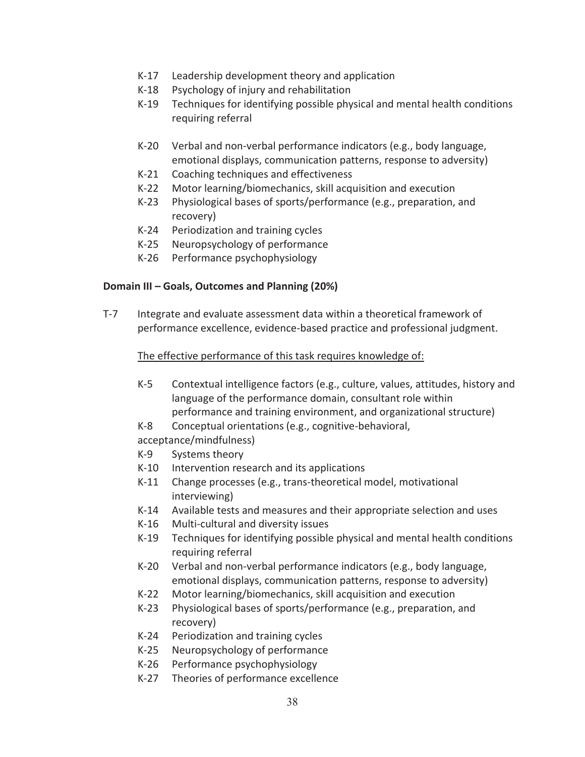- K-17 Leadership development theory and application
- K-18 Psychology of injury and rehabilitation
- K-19 Techniques for identifying possible physical and mental health conditions requiring referral
- K-20 Verbal and non-verbal performance indicators (e.g., body language, emotional displays, communication patterns, response to adversity)
- K-21 Coaching techniques and effectiveness
- K-22 Motor learning/biomechanics, skill acquisition and execution
- K-23 Physiological bases of sports/performance (e.g., preparation, and recovery)
- K-24 Periodization and training cycles
- K-25 Neuropsychology of performance
- K-26 Performance psychophysiology

#### **Domain III – Goals, Outcomes and Planning (20%)**

T-7 Integrate and evaluate assessment data within a theoretical framework of performance excellence, evidence-based practice and professional judgment.

#### The effective performance of this task requires knowledge of:

- K-5 Contextual intelligence factors (e.g., culture, values, attitudes, history and language of the performance domain, consultant role within performance and training environment, and organizational structure)
- K-8 Conceptual orientations (e.g., cognitive-behavioral,

acceptance/mindfulness)

- K-9 Systems theory
- K-10 Intervention research and its applications
- K-11 Change processes (e.g., trans-theoretical model, motivational interviewing)
- K-14 Available tests and measures and their appropriate selection and uses
- K-16 Multi-cultural and diversity issues
- K-19 Techniques for identifying possible physical and mental health conditions requiring referral
- K-20 Verbal and non-verbal performance indicators (e.g., body language, emotional displays, communication patterns, response to adversity)
- K-22 Motor learning/biomechanics, skill acquisition and execution
- K-23 Physiological bases of sports/performance (e.g., preparation, and recovery)
- K-24 Periodization and training cycles
- K-25 Neuropsychology of performance
- K-26 Performance psychophysiology
- K-27 Theories of performance excellence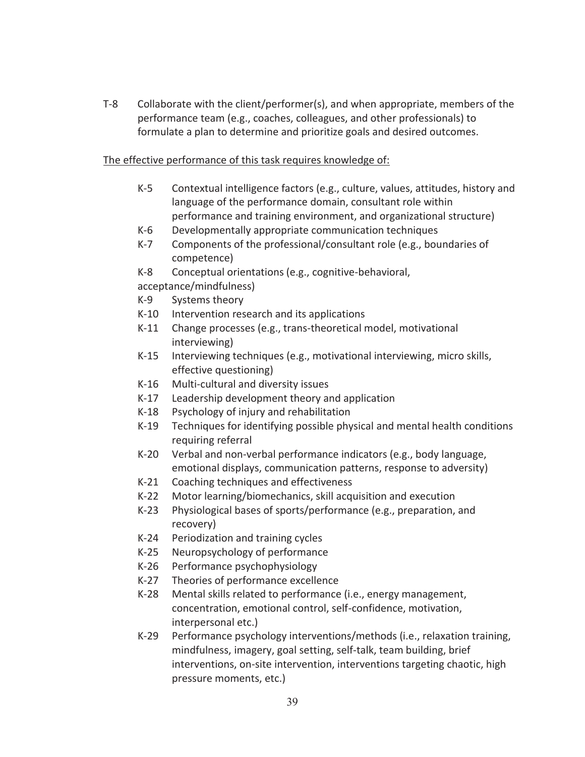T-8 Collaborate with the client/performer(s), and when appropriate, members of the performance team (e.g., coaches, colleagues, and other professionals) to formulate a plan to determine and prioritize goals and desired outcomes.

#### The effective performance of this task requires knowledge of:

- K-5 Contextual intelligence factors (e.g., culture, values, attitudes, history and language of the performance domain, consultant role within performance and training environment, and organizational structure)
- K-6 Developmentally appropriate communication techniques
- K-7 Components of the professional/consultant role (e.g., boundaries of competence)
- K-8 Conceptual orientations (e.g., cognitive-behavioral,

acceptance/mindfulness)

- K-9 Systems theory
- K-10 Intervention research and its applications
- K-11 Change processes (e.g., trans-theoretical model, motivational interviewing)
- K-15 Interviewing techniques (e.g., motivational interviewing, micro skills, effective questioning)
- K-16 Multi-cultural and diversity issues
- K-17 Leadership development theory and application
- K-18 Psychology of injury and rehabilitation
- K-19 Techniques for identifying possible physical and mental health conditions requiring referral
- K-20 Verbal and non-verbal performance indicators (e.g., body language, emotional displays, communication patterns, response to adversity)
- K-21 Coaching techniques and effectiveness
- K-22 Motor learning/biomechanics, skill acquisition and execution
- K-23 Physiological bases of sports/performance (e.g., preparation, and recovery)
- K-24 Periodization and training cycles
- K-25 Neuropsychology of performance
- K-26 Performance psychophysiology
- K-27 Theories of performance excellence
- K-28 Mental skills related to performance (i.e., energy management, concentration, emotional control, self-confidence, motivation, interpersonal etc.)
- K-29 Performance psychology interventions/methods (i.e., relaxation training, mindfulness, imagery, goal setting, self-talk, team building, brief interventions, on-site intervention, interventions targeting chaotic, high pressure moments, etc.)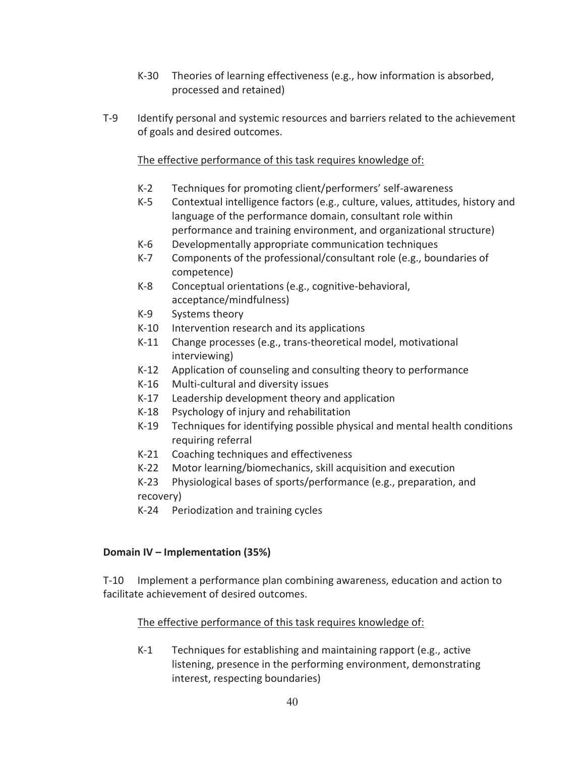- K-30 Theories of learning effectiveness (e.g., how information is absorbed, processed and retained)
- T-9 Identify personal and systemic resources and barriers related to the achievement of goals and desired outcomes.

- K-2 Techniques for promoting client/performers' self-awareness
- K-5 Contextual intelligence factors (e.g., culture, values, attitudes, history and language of the performance domain, consultant role within performance and training environment, and organizational structure)
- K-6 Developmentally appropriate communication techniques
- K-7 Components of the professional/consultant role (e.g., boundaries of competence)
- K-8 Conceptual orientations (e.g., cognitive-behavioral, acceptance/mindfulness)
- K-9 Systems theory
- K-10 Intervention research and its applications
- K-11 Change processes (e.g., trans-theoretical model, motivational interviewing)
- K-12 Application of counseling and consulting theory to performance
- K-16 Multi-cultural and diversity issues
- K-17 Leadership development theory and application
- K-18 Psychology of injury and rehabilitation
- K-19 Techniques for identifying possible physical and mental health conditions requiring referral
- K-21 Coaching techniques and effectiveness
- K-22 Motor learning/biomechanics, skill acquisition and execution
- K-23 Physiological bases of sports/performance (e.g., preparation, and recovery)
- K-24 Periodization and training cycles

### **Domain IV – Implementation (35%)**

T-10 Implement a performance plan combining awareness, education and action to facilitate achievement of desired outcomes.

### The effective performance of this task requires knowledge of:

K-1 Techniques for establishing and maintaining rapport (e.g., active listening, presence in the performing environment, demonstrating interest, respecting boundaries)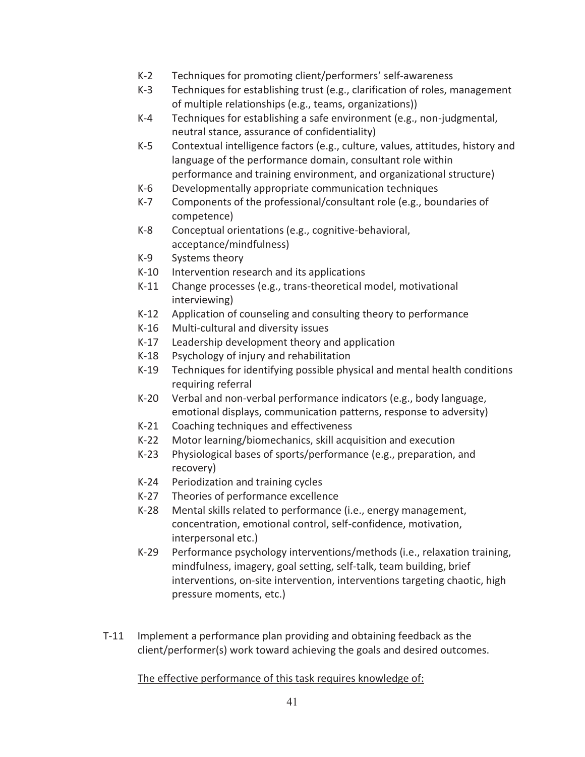- K-2 Techniques for promoting client/performers' self-awareness
- K-3 Techniques for establishing trust (e.g., clarification of roles, management of multiple relationships (e.g., teams, organizations))
- K-4 Techniques for establishing a safe environment (e.g., non-judgmental, neutral stance, assurance of confidentiality)
- K-5 Contextual intelligence factors (e.g., culture, values, attitudes, history and language of the performance domain, consultant role within performance and training environment, and organizational structure)
- K-6 Developmentally appropriate communication techniques
- K-7 Components of the professional/consultant role (e.g., boundaries of competence)
- K-8 Conceptual orientations (e.g., cognitive-behavioral, acceptance/mindfulness)
- K-9 Systems theory
- K-10 Intervention research and its applications
- K-11 Change processes (e.g., trans-theoretical model, motivational interviewing)
- K-12 Application of counseling and consulting theory to performance
- K-16 Multi-cultural and diversity issues
- K-17 Leadership development theory and application
- K-18 Psychology of injury and rehabilitation
- K-19 Techniques for identifying possible physical and mental health conditions requiring referral
- K-20 Verbal and non-verbal performance indicators (e.g., body language, emotional displays, communication patterns, response to adversity)
- K-21 Coaching techniques and effectiveness
- K-22 Motor learning/biomechanics, skill acquisition and execution
- K-23 Physiological bases of sports/performance (e.g., preparation, and recovery)
- K-24 Periodization and training cycles
- K-27 Theories of performance excellence
- K-28 Mental skills related to performance (i.e., energy management, concentration, emotional control, self-confidence, motivation, interpersonal etc.)
- K-29 Performance psychology interventions/methods (i.e., relaxation training, mindfulness, imagery, goal setting, self-talk, team building, brief interventions, on-site intervention, interventions targeting chaotic, high pressure moments, etc.)
- T-11 Implement a performance plan providing and obtaining feedback as the client/performer(s) work toward achieving the goals and desired outcomes.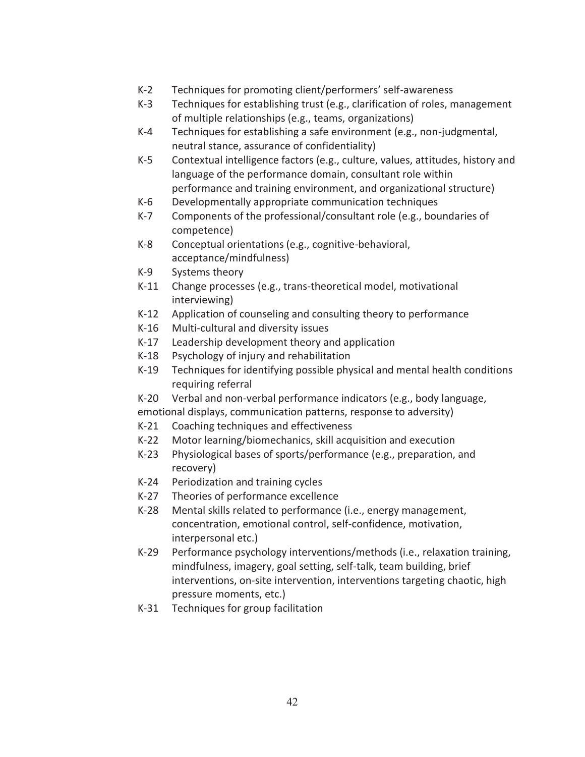- K-2 Techniques for promoting client/performers' self-awareness
- K-3 Techniques for establishing trust (e.g., clarification of roles, management of multiple relationships (e.g., teams, organizations)
- K-4 Techniques for establishing a safe environment (e.g., non-judgmental, neutral stance, assurance of confidentiality)
- K-5 Contextual intelligence factors (e.g., culture, values, attitudes, history and language of the performance domain, consultant role within performance and training environment, and organizational structure)
- K-6 Developmentally appropriate communication techniques
- K-7 Components of the professional/consultant role (e.g., boundaries of competence)
- K-8 Conceptual orientations (e.g., cognitive-behavioral, acceptance/mindfulness)
- K-9 Systems theory
- K-11 Change processes (e.g., trans-theoretical model, motivational interviewing)
- K-12 Application of counseling and consulting theory to performance
- K-16 Multi-cultural and diversity issues
- K-17 Leadership development theory and application
- K-18 Psychology of injury and rehabilitation
- K-19 Techniques for identifying possible physical and mental health conditions requiring referral
- K-20 Verbal and non-verbal performance indicators (e.g., body language,
- emotional displays, communication patterns, response to adversity) K-21 Coaching techniques and effectiveness
- K-22 Motor learning/biomechanics, skill acquisition and execution
- K-23 Physiological bases of sports/performance (e.g., preparation, and recovery)
- K-24 Periodization and training cycles
- K-27 Theories of performance excellence
- K-28 Mental skills related to performance (i.e., energy management, concentration, emotional control, self-confidence, motivation, interpersonal etc.)
- K-29 Performance psychology interventions/methods (i.e., relaxation training, mindfulness, imagery, goal setting, self-talk, team building, brief interventions, on-site intervention, interventions targeting chaotic, high pressure moments, etc.)
- K-31 Techniques for group facilitation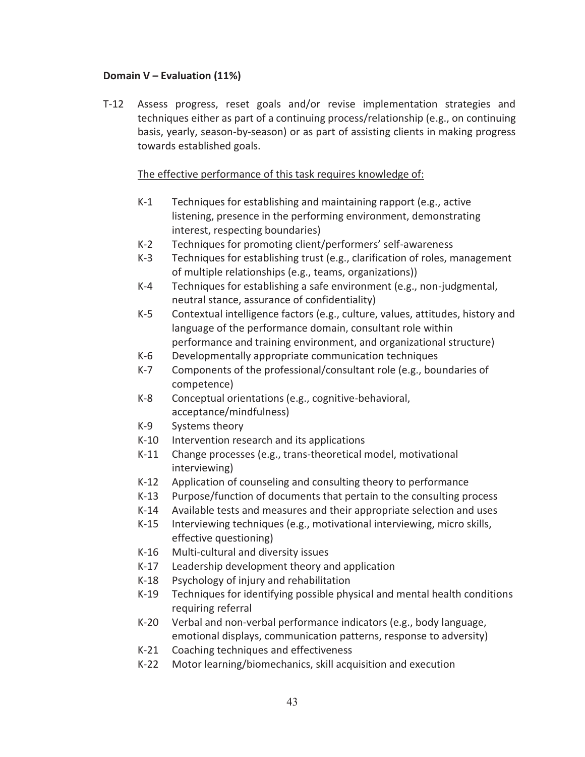#### **Domain V – Evaluation (11%)**

T-12 Assess progress, reset goals and/or revise implementation strategies and techniques either as part of a continuing process/relationship (e.g., on continuing basis, yearly, season-by-season) or as part of assisting clients in making progress towards established goals.

- K-1 Techniques for establishing and maintaining rapport (e.g., active listening, presence in the performing environment, demonstrating interest, respecting boundaries)
- K-2 Techniques for promoting client/performers' self-awareness
- K-3 Techniques for establishing trust (e.g., clarification of roles, management of multiple relationships (e.g., teams, organizations))
- K-4 Techniques for establishing a safe environment (e.g., non-judgmental, neutral stance, assurance of confidentiality)
- K-5 Contextual intelligence factors (e.g., culture, values, attitudes, history and language of the performance domain, consultant role within performance and training environment, and organizational structure)
- K-6 Developmentally appropriate communication techniques
- K-7 Components of the professional/consultant role (e.g., boundaries of competence)
- K-8 Conceptual orientations (e.g., cognitive-behavioral, acceptance/mindfulness)
- K-9 Systems theory
- K-10 Intervention research and its applications
- K-11 Change processes (e.g., trans-theoretical model, motivational interviewing)
- K-12 Application of counseling and consulting theory to performance
- K-13 Purpose/function of documents that pertain to the consulting process
- K-14 Available tests and measures and their appropriate selection and uses
- K-15 Interviewing techniques (e.g., motivational interviewing, micro skills, effective questioning)
- K-16 Multi-cultural and diversity issues
- K-17 Leadership development theory and application
- K-18 Psychology of injury and rehabilitation
- K-19 Techniques for identifying possible physical and mental health conditions requiring referral
- K-20 Verbal and non-verbal performance indicators (e.g., body language, emotional displays, communication patterns, response to adversity)
- K-21 Coaching techniques and effectiveness
- K-22 Motor learning/biomechanics, skill acquisition and execution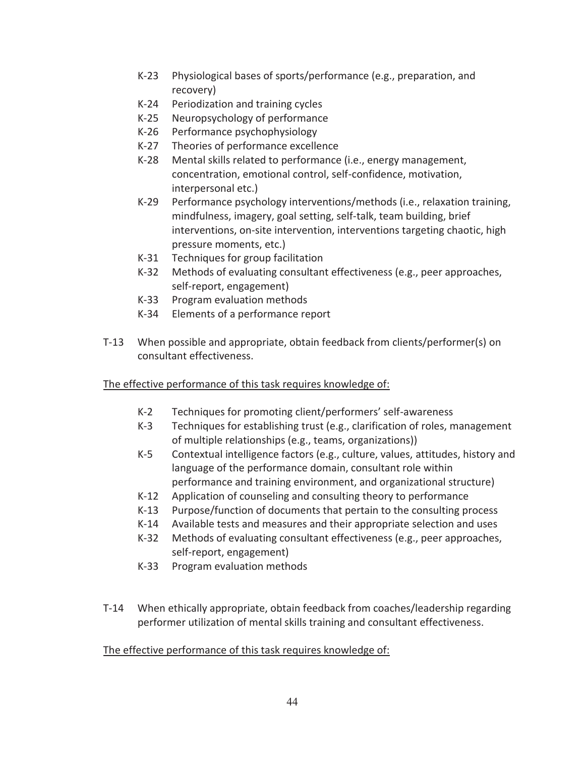- K-23 Physiological bases of sports/performance (e.g., preparation, and recovery)
- K-24 Periodization and training cycles
- K-25 Neuropsychology of performance
- K-26 Performance psychophysiology
- K-27 Theories of performance excellence
- K-28 Mental skills related to performance (i.e., energy management, concentration, emotional control, self-confidence, motivation, interpersonal etc.)
- K-29 Performance psychology interventions/methods (i.e., relaxation training, mindfulness, imagery, goal setting, self-talk, team building, brief interventions, on-site intervention, interventions targeting chaotic, high pressure moments, etc.)
- K-31 Techniques for group facilitation
- K-32 Methods of evaluating consultant effectiveness (e.g., peer approaches, self-report, engagement)
- K-33 Program evaluation methods
- K-34 Elements of a performance report
- T-13 When possible and appropriate, obtain feedback from clients/performer(s) on consultant effectiveness.

- K-2 Techniques for promoting client/performers' self-awareness
- K-3 Techniques for establishing trust (e.g., clarification of roles, management of multiple relationships (e.g., teams, organizations))
- K-5 Contextual intelligence factors (e.g., culture, values, attitudes, history and language of the performance domain, consultant role within performance and training environment, and organizational structure)
- K-12 Application of counseling and consulting theory to performance
- K-13 Purpose/function of documents that pertain to the consulting process
- K-14 Available tests and measures and their appropriate selection and uses
- K-32 Methods of evaluating consultant effectiveness (e.g., peer approaches, self-report, engagement)
- K-33 Program evaluation methods
- T-14 When ethically appropriate, obtain feedback from coaches/leadership regarding performer utilization of mental skills training and consultant effectiveness.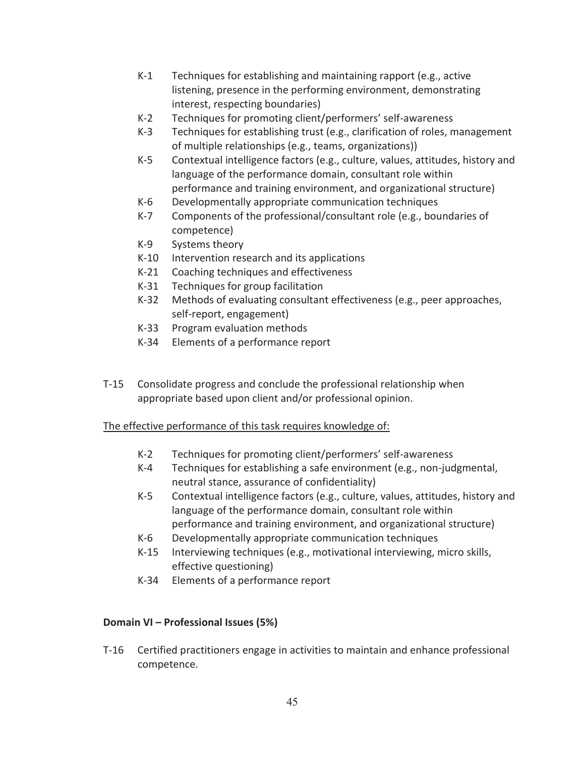- K-1 Techniques for establishing and maintaining rapport (e.g., active listening, presence in the performing environment, demonstrating interest, respecting boundaries)
- K-2 Techniques for promoting client/performers' self-awareness
- K-3 Techniques for establishing trust (e.g., clarification of roles, management of multiple relationships (e.g., teams, organizations))
- K-5 Contextual intelligence factors (e.g., culture, values, attitudes, history and language of the performance domain, consultant role within performance and training environment, and organizational structure)
- K-6 Developmentally appropriate communication techniques
- K-7 Components of the professional/consultant role (e.g., boundaries of competence)
- K-9 Systems theory
- K-10 Intervention research and its applications
- K-21 Coaching techniques and effectiveness
- K-31 Techniques for group facilitation
- K-32 Methods of evaluating consultant effectiveness (e.g., peer approaches, self-report, engagement)
- K-33 Program evaluation methods
- K-34 Elements of a performance report
- T-15 Consolidate progress and conclude the professional relationship when appropriate based upon client and/or professional opinion.

- K-2 Techniques for promoting client/performers' self-awareness
- K-4 Techniques for establishing a safe environment (e.g., non-judgmental, neutral stance, assurance of confidentiality)
- K-5 Contextual intelligence factors (e.g., culture, values, attitudes, history and language of the performance domain, consultant role within performance and training environment, and organizational structure)
- K-6 Developmentally appropriate communication techniques
- K-15 Interviewing techniques (e.g., motivational interviewing, micro skills, effective questioning)
- K-34 Elements of a performance report

### **Domain VI – Professional Issues (5%)**

T-16 Certified practitioners engage in activities to maintain and enhance professional competence.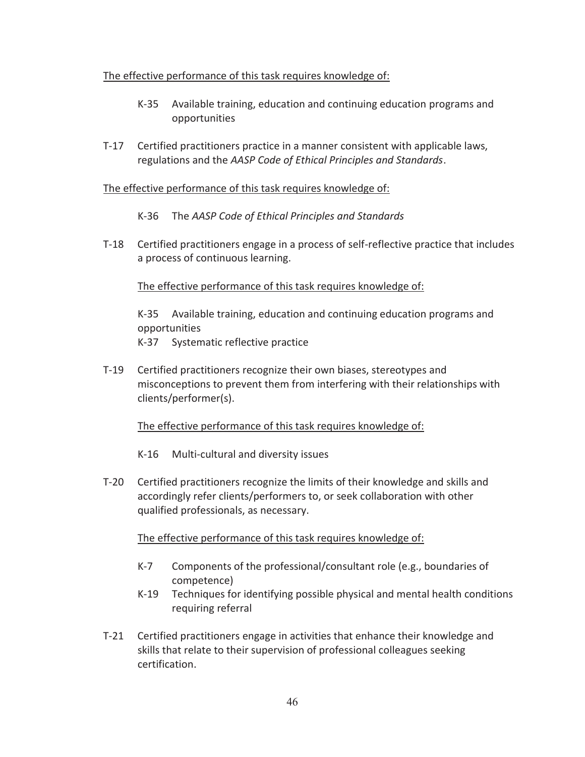- K-35 Available training, education and continuing education programs and opportunities
- T-17 Certified practitioners practice in a manner consistent with applicable laws, regulations and the *AASP Code of Ethical Principles and Standards*.

#### The effective performance of this task requires knowledge of:

- K-36 The *AASP Code of Ethical Principles and Standards*
- T-18 Certified practitioners engage in a process of self-reflective practice that includes a process of continuous learning.

#### The effective performance of this task requires knowledge of:

K-35 Available training, education and continuing education programs and opportunities K-37 Systematic reflective practice

- 
- T-19 Certified practitioners recognize their own biases, stereotypes and misconceptions to prevent them from interfering with their relationships with clients/performer(s).

#### The effective performance of this task requires knowledge of:

- K-16 Multi-cultural and diversity issues
- T-20 Certified practitioners recognize the limits of their knowledge and skills and accordingly refer clients/performers to, or seek collaboration with other qualified professionals, as necessary.

- K-7 Components of the professional/consultant role (e.g., boundaries of competence)
- K-19 Techniques for identifying possible physical and mental health conditions requiring referral
- T-21 Certified practitioners engage in activities that enhance their knowledge and skills that relate to their supervision of professional colleagues seeking certification.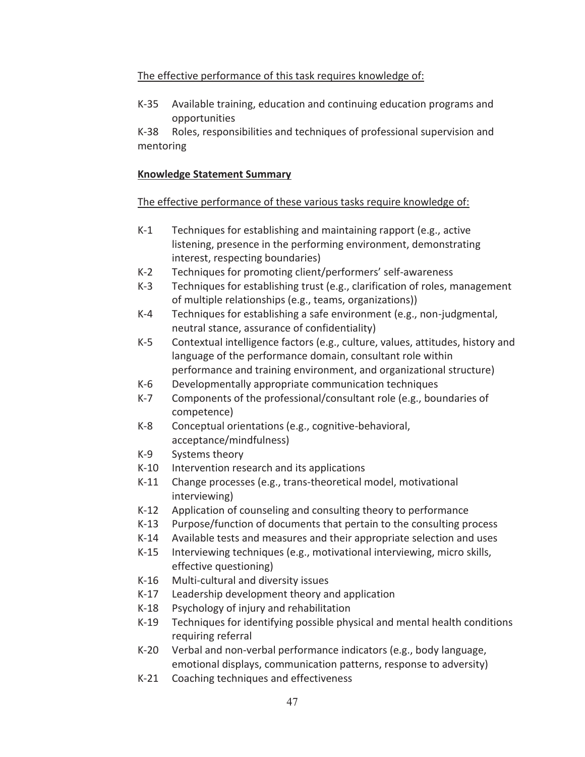K-35 Available training, education and continuing education programs and opportunities

K-38 Roles, responsibilities and techniques of professional supervision and mentoring

# **Knowledge Statement Summary**

- K-1 Techniques for establishing and maintaining rapport (e.g., active listening, presence in the performing environment, demonstrating interest, respecting boundaries)
- K-2 Techniques for promoting client/performers' self-awareness
- K-3 Techniques for establishing trust (e.g., clarification of roles, management of multiple relationships (e.g., teams, organizations))
- K-4 Techniques for establishing a safe environment (e.g., non-judgmental, neutral stance, assurance of confidentiality)
- K-5 Contextual intelligence factors (e.g., culture, values, attitudes, history and language of the performance domain, consultant role within performance and training environment, and organizational structure)
- K-6 Developmentally appropriate communication techniques
- K-7 Components of the professional/consultant role (e.g., boundaries of competence)
- K-8 Conceptual orientations (e.g., cognitive-behavioral, acceptance/mindfulness)
- K-9 Systems theory
- K-10 Intervention research and its applications
- K-11 Change processes (e.g., trans-theoretical model, motivational interviewing)
- K-12 Application of counseling and consulting theory to performance
- K-13 Purpose/function of documents that pertain to the consulting process
- K-14 Available tests and measures and their appropriate selection and uses
- K-15 Interviewing techniques (e.g., motivational interviewing, micro skills, effective questioning)
- K-16 Multi-cultural and diversity issues
- K-17 Leadership development theory and application
- K-18 Psychology of injury and rehabilitation
- K-19 Techniques for identifying possible physical and mental health conditions requiring referral
- K-20 Verbal and non-verbal performance indicators (e.g., body language, emotional displays, communication patterns, response to adversity)
- K-21 Coaching techniques and effectiveness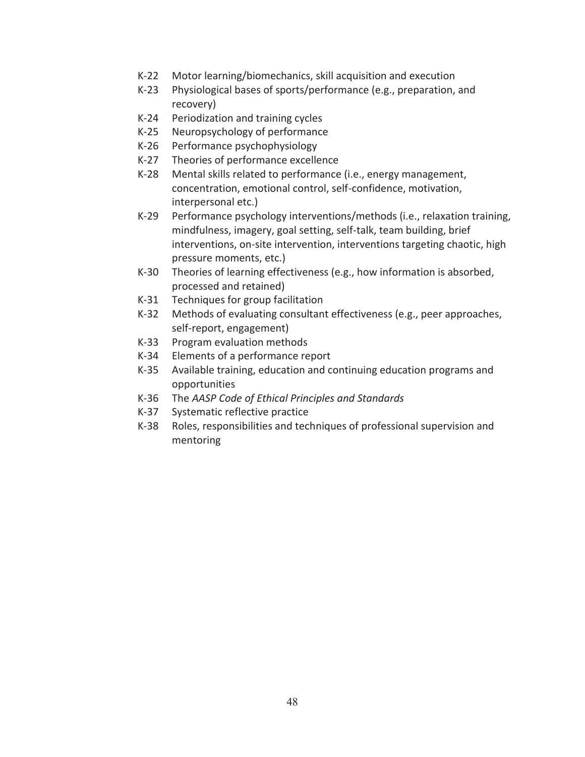- K-22 Motor learning/biomechanics, skill acquisition and execution
- K-23 Physiological bases of sports/performance (e.g., preparation, and recovery)
- K-24 Periodization and training cycles
- K-25 Neuropsychology of performance
- K-26 Performance psychophysiology
- K-27 Theories of performance excellence
- K-28 Mental skills related to performance (i.e., energy management, concentration, emotional control, self-confidence, motivation, interpersonal etc.)
- K-29 Performance psychology interventions/methods (i.e., relaxation training, mindfulness, imagery, goal setting, self-talk, team building, brief interventions, on-site intervention, interventions targeting chaotic, high pressure moments, etc.)
- K-30 Theories of learning effectiveness (e.g., how information is absorbed, processed and retained)
- K-31 Techniques for group facilitation
- K-32 Methods of evaluating consultant effectiveness (e.g., peer approaches, self-report, engagement)
- K-33 Program evaluation methods
- K-34 Elements of a performance report
- K-35 Available training, education and continuing education programs and opportunities
- K-36 The *AASP Code of Ethical Principles and Standards*
- K-37 Systematic reflective practice
- K-38 Roles, responsibilities and techniques of professional supervision and mentoring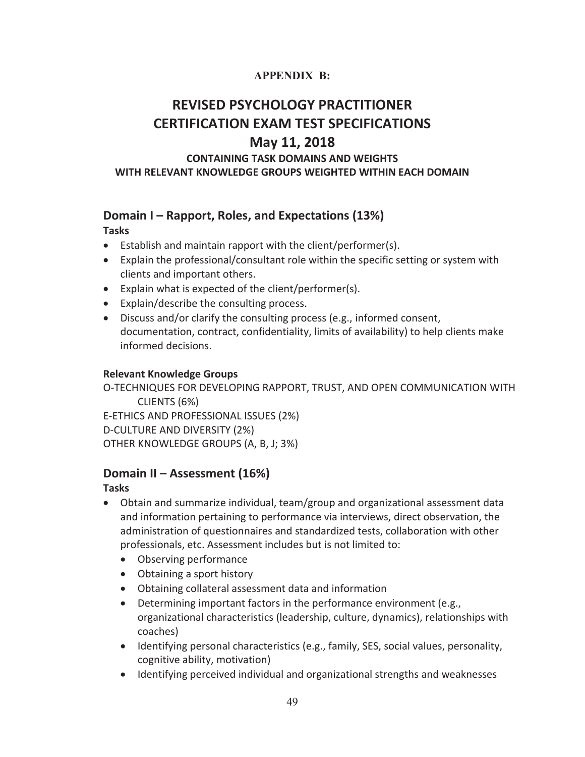# **APPENDIX B:**

# **REVISED PSYCHOLOGY PRACTITIONER CERTIFICATION EXAM TEST SPECIFICATIONS**

# **May 11, 2018**

# **CONTAINING TASK DOMAINS AND WEIGHTS WITH RELEVANT KNOWLEDGE GROUPS WEIGHTED WITHIN EACH DOMAIN**

# **Domain I – Rapport, Roles, and Expectations (13%)**

#### **Tasks**

- $\bullet$  Establish and maintain rapport with the client/performer(s).
- Explain the professional/consultant role within the specific setting or system with clients and important others.
- Explain what is expected of the client/performer(s).
- Explain/describe the consulting process.
- Discuss and/or clarify the consulting process (e.g., informed consent, documentation, contract, confidentiality, limits of availability) to help clients make informed decisions.

#### **Relevant Knowledge Groups**

O-TECHNIQUES FOR DEVELOPING RAPPORT, TRUST, AND OPEN COMMUNICATION WITH CLIENTS (6%) E-ETHICS AND PROFESSIONAL ISSUES (2%) D-CULTURE AND DIVERSITY (2%) OTHER KNOWLEDGE GROUPS (A, B, J; 3%)

# **Domain II – Assessment (16%)**

# **Tasks**

- Obtain and summarize individual, team/group and organizational assessment data and information pertaining to performance via interviews, direct observation, the administration of questionnaires and standardized tests, collaboration with other professionals, etc. Assessment includes but is not limited to:
	- Observing performance
	- Obtaining a sport history
	- Obtaining collateral assessment data and information
	- $\bullet$  Determining important factors in the performance environment (e.g., organizational characteristics (leadership, culture, dynamics), relationships with coaches)
	- Identifying personal characteristics (e.g., family, SES, social values, personality, cognitive ability, motivation)
	- Identifying perceived individual and organizational strengths and weaknesses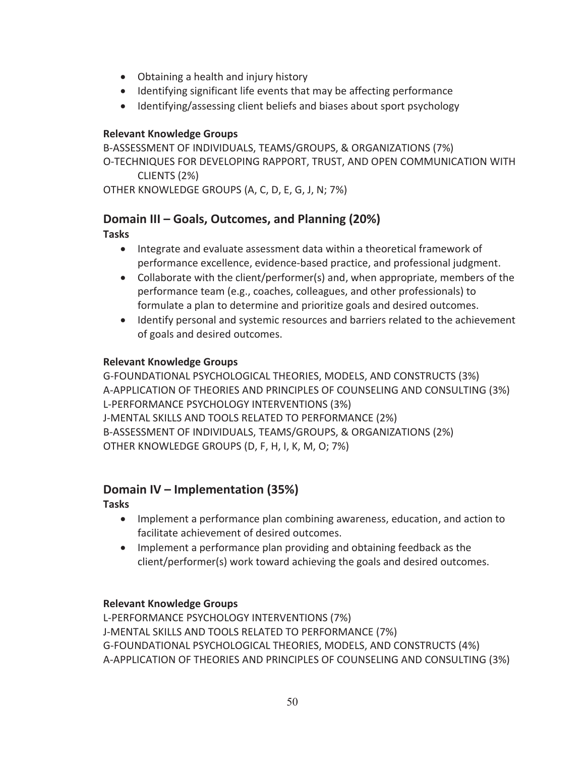- Obtaining a health and injury history
- Identifying significant life events that may be affecting performance
- Identifying/assessing client beliefs and biases about sport psychology

#### **Relevant Knowledge Groups**

B-ASSESSMENT OF INDIVIDUALS, TEAMS/GROUPS, & ORGANIZATIONS (7%) O-TECHNIQUES FOR DEVELOPING RAPPORT, TRUST, AND OPEN COMMUNICATION WITH CLIENTS (2%) OTHER KNOWLEDGE GROUPS (A, C, D, E, G, J, N; 7%)

# **Domain III – Goals, Outcomes, and Planning (20%)**

**Tasks** 

- Integrate and evaluate assessment data within a theoretical framework of performance excellence, evidence-based practice, and professional judgment.
- Collaborate with the client/performer(s) and, when appropriate, members of the performance team (e.g., coaches, colleagues, and other professionals) to formulate a plan to determine and prioritize goals and desired outcomes.
- Identify personal and systemic resources and barriers related to the achievement of goals and desired outcomes.

# **Relevant Knowledge Groups**

G-FOUNDATIONAL PSYCHOLOGICAL THEORIES, MODELS, AND CONSTRUCTS (3%) A-APPLICATION OF THEORIES AND PRINCIPLES OF COUNSELING AND CONSULTING (3%) L-PERFORMANCE PSYCHOLOGY INTERVENTIONS (3%) J-MENTAL SKILLS AND TOOLS RELATED TO PERFORMANCE (2%) B-ASSESSMENT OF INDIVIDUALS, TEAMS/GROUPS, & ORGANIZATIONS (2%) OTHER KNOWLEDGE GROUPS (D, F, H, I, K, M, O; 7%)

# **Domain IV – Implementation (35%)**

**Tasks** 

- Implement a performance plan combining awareness, education, and action to facilitate achievement of desired outcomes.
- Implement a performance plan providing and obtaining feedback as the client/performer(s) work toward achieving the goals and desired outcomes.

### **Relevant Knowledge Groups**

L-PERFORMANCE PSYCHOLOGY INTERVENTIONS (7%) J-MENTAL SKILLS AND TOOLS RELATED TO PERFORMANCE (7%) G-FOUNDATIONAL PSYCHOLOGICAL THEORIES, MODELS, AND CONSTRUCTS (4%) A-APPLICATION OF THEORIES AND PRINCIPLES OF COUNSELING AND CONSULTING (3%)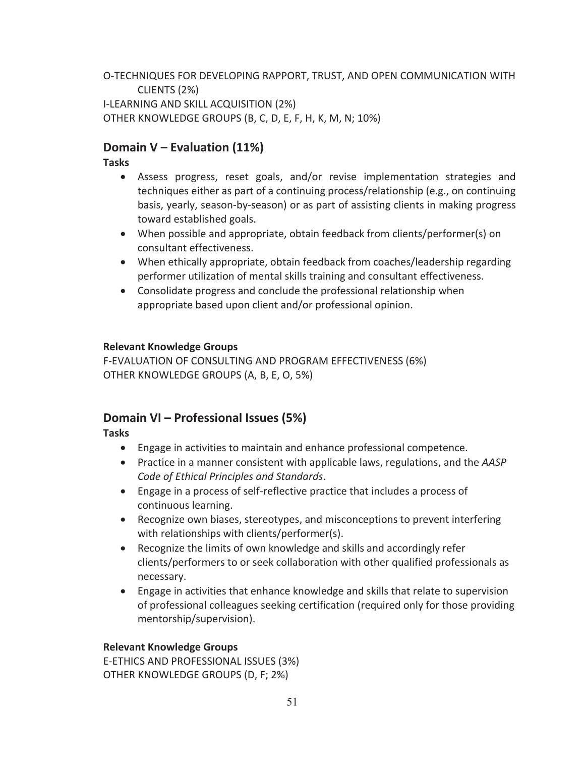O-TECHNIQUES FOR DEVELOPING RAPPORT, TRUST, AND OPEN COMMUNICATION WITH CLIENTS (2%) I-LEARNING AND SKILL ACQUISITION (2%) OTHER KNOWLEDGE GROUPS (B, C, D, E, F, H, K, M, N; 10%)

# **Domain V – Evaluation (11%)**

#### **Tasks**

- Assess progress, reset goals, and/or revise implementation strategies and techniques either as part of a continuing process/relationship (e.g., on continuing basis, yearly, season-by-season) or as part of assisting clients in making progress toward established goals.
- When possible and appropriate, obtain feedback from clients/performer(s) on consultant effectiveness.
- When ethically appropriate, obtain feedback from coaches/leadership regarding performer utilization of mental skills training and consultant effectiveness.
- Consolidate progress and conclude the professional relationship when appropriate based upon client and/or professional opinion.

#### **Relevant Knowledge Groups**

F-EVALUATION OF CONSULTING AND PROGRAM EFFECTIVENESS (6%) OTHER KNOWLEDGE GROUPS (A, B, E, O, 5%)

# **Domain VI – Professional Issues (5%)**

### **Tasks**

- Engage in activities to maintain and enhance professional competence.
- x Practice in a manner consistent with applicable laws, regulations, and the *AASP Code of Ethical Principles and Standards*.
- Engage in a process of self-reflective practice that includes a process of continuous learning.
- Recognize own biases, stereotypes, and misconceptions to prevent interfering with relationships with clients/performer(s).
- Recognize the limits of own knowledge and skills and accordingly refer clients/performers to or seek collaboration with other qualified professionals as necessary.
- Engage in activities that enhance knowledge and skills that relate to supervision of professional colleagues seeking certification (required only for those providing mentorship/supervision).

### **Relevant Knowledge Groups**

E-ETHICS AND PROFESSIONAL ISSUES (3%) OTHER KNOWLEDGE GROUPS (D, F; 2%)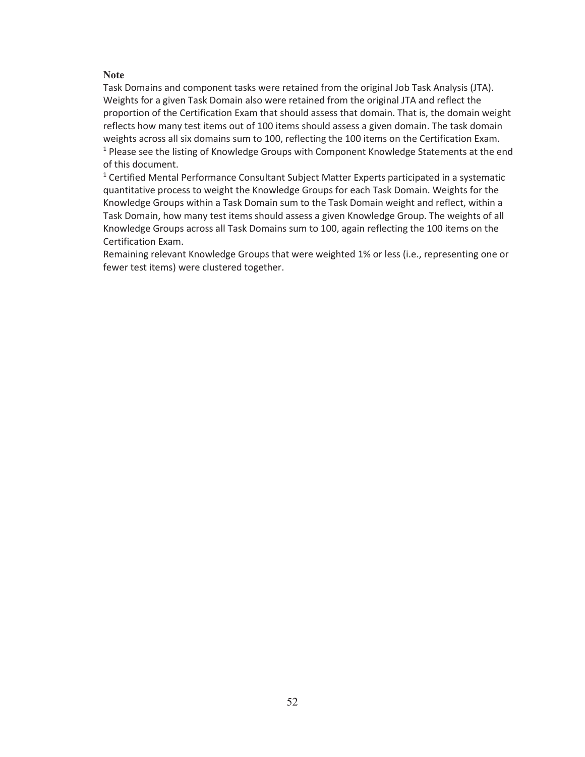#### **Note**

Task Domains and component tasks were retained from the original Job Task Analysis (JTA). Weights for a given Task Domain also were retained from the original JTA and reflect the proportion of the Certification Exam that should assess that domain. That is, the domain weight reflects how many test items out of 100 items should assess a given domain. The task domain weights across all six domains sum to 100, reflecting the 100 items on the Certification Exam. <sup>1</sup> Please see the listing of Knowledge Groups with Component Knowledge Statements at the end of this document.

<sup>1</sup> Certified Mental Performance Consultant Subject Matter Experts participated in a systematic quantitative process to weight the Knowledge Groups for each Task Domain. Weights for the Knowledge Groups within a Task Domain sum to the Task Domain weight and reflect, within a Task Domain, how many test items should assess a given Knowledge Group. The weights of all Knowledge Groups across all Task Domains sum to 100, again reflecting the 100 items on the Certification Exam.

Remaining relevant Knowledge Groups that were weighted 1% or less (i.e., representing one or fewer test items) were clustered together.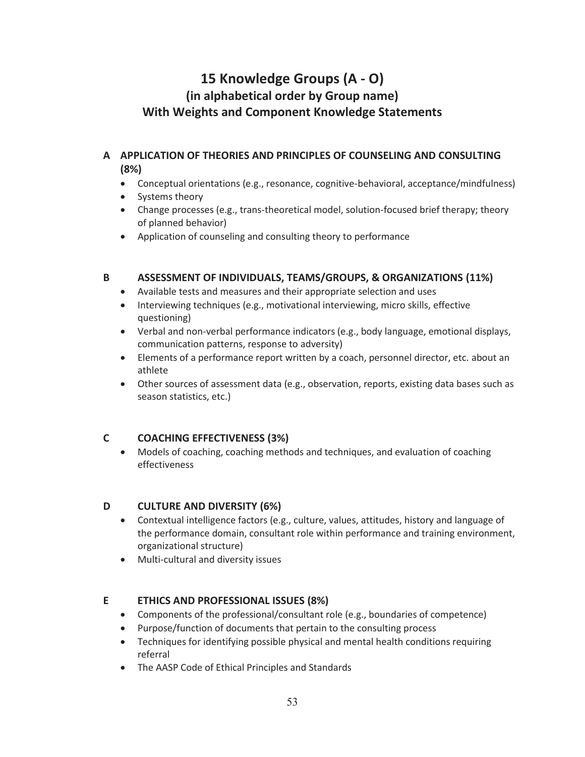# **15 Knowledge Groups (A - O) (in alphabetical order by Group name) With Weights and Component Knowledge Statements**

#### **A APPLICATION OF THEORIES AND PRINCIPLES OF COUNSELING AND CONSULTING (8%)**

- Conceptual orientations (e.g., resonance, cognitive-behavioral, acceptance/mindfulness)
- Systems theory
- Change processes (e.g., trans-theoretical model, solution-focused brief therapy; theory of planned behavior)
- Application of counseling and consulting theory to performance

#### **B ASSESSMENT OF INDIVIDUALS, TEAMS/GROUPS, & ORGANIZATIONS (11%)**

- Available tests and measures and their appropriate selection and uses
- Interviewing techniques (e.g., motivational interviewing, micro skills, effective questioning)
- Verbal and non-verbal performance indicators (e.g., body language, emotional displays, communication patterns, response to adversity)
- Elements of a performance report written by a coach, personnel director, etc. about an athlete
- Other sources of assessment data (e.g., observation, reports, existing data bases such as season statistics, etc.)

### **C COACHING EFFECTIVENESS (3%)**

• Models of coaching, coaching methods and techniques, and evaluation of coaching effectiveness

#### **D CULTURE AND DIVERSITY (6%)**

- Contextual intelligence factors (e.g., culture, values, attitudes, history and language of the performance domain, consultant role within performance and training environment, organizational structure)
- Multi-cultural and diversity issues

#### **E ETHICS AND PROFESSIONAL ISSUES (8%)**

- Components of the professional/consultant role (e.g., boundaries of competence)
- Purpose/function of documents that pertain to the consulting process
- Techniques for identifying possible physical and mental health conditions requiring referral
- The AASP Code of Ethical Principles and Standards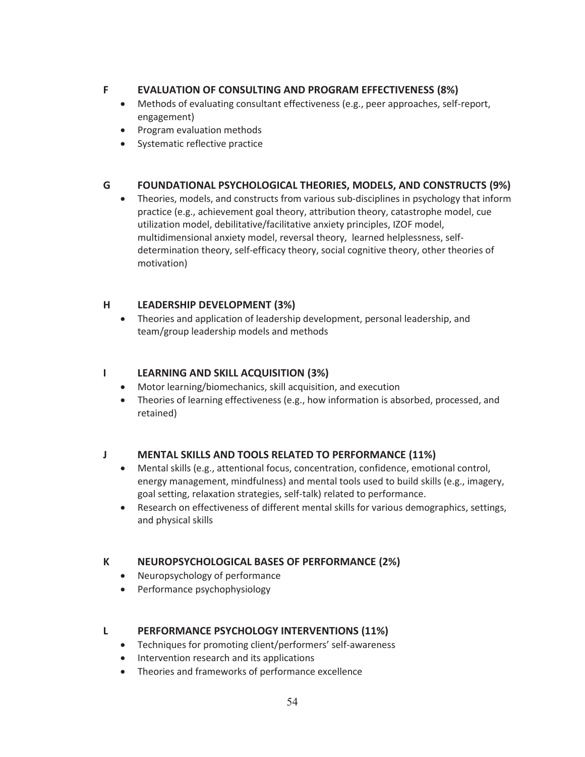#### **F EVALUATION OF CONSULTING AND PROGRAM EFFECTIVENESS (8%)**

- Methods of evaluating consultant effectiveness (e.g., peer approaches, self-report, engagement)
- Program evaluation methods
- Systematic reflective practice

### **G FOUNDATIONAL PSYCHOLOGICAL THEORIES, MODELS, AND CONSTRUCTS (9%)**

• Theories, models, and constructs from various sub-disciplines in psychology that inform practice (e.g., achievement goal theory, attribution theory, catastrophe model, cue utilization model, debilitative/facilitative anxiety principles, IZOF model, multidimensional anxiety model, reversal theory, learned helplessness, selfdetermination theory, self-efficacy theory, social cognitive theory, other theories of motivation)

### **H LEADERSHIP DEVELOPMENT (3%)**

• Theories and application of leadership development, personal leadership, and team/group leadership models and methods

#### **I LEARNING AND SKILL ACQUISITION (3%)**

- Motor learning/biomechanics, skill acquisition, and execution
- Theories of learning effectiveness (e.g., how information is absorbed, processed, and retained)

### **J MENTAL SKILLS AND TOOLS RELATED TO PERFORMANCE (11%)**

- Mental skills (e.g., attentional focus, concentration, confidence, emotional control, energy management, mindfulness) and mental tools used to build skills (e.g., imagery, goal setting, relaxation strategies, self-talk) related to performance.
- **•** Research on effectiveness of different mental skills for various demographics, settings, and physical skills

### **K NEUROPSYCHOLOGICAL BASES OF PERFORMANCE (2%)**

- Neuropsychology of performance
- Performance psychophysiology

### **L PERFORMANCE PSYCHOLOGY INTERVENTIONS (11%)**

- Techniques for promoting client/performers' self-awareness
- Intervention research and its applications
- Theories and frameworks of performance excellence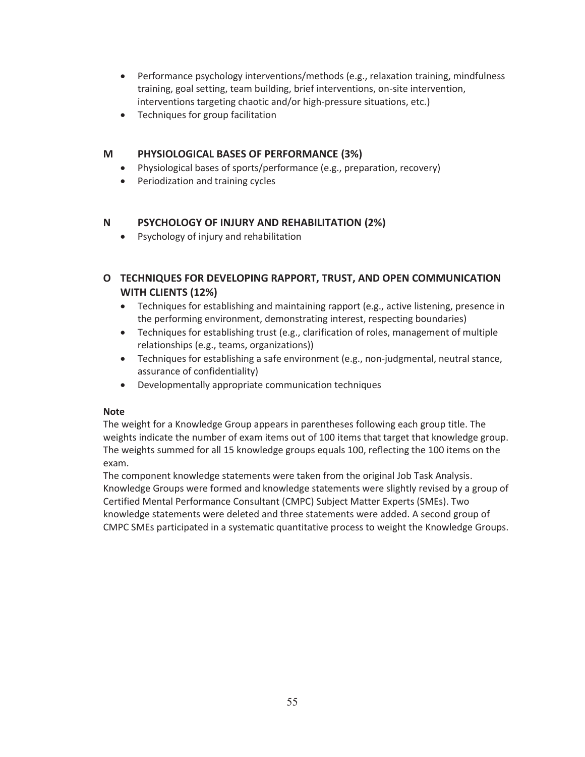- Performance psychology interventions/methods (e.g., relaxation training, mindfulness training, goal setting, team building, brief interventions, on-site intervention, interventions targeting chaotic and/or high-pressure situations, etc.)
- Techniques for group facilitation

#### **M PHYSIOLOGICAL BASES OF PERFORMANCE (3%)**

- Physiological bases of sports/performance (e.g., preparation, recovery)
- Periodization and training cycles

#### **N PSYCHOLOGY OF INJURY AND REHABILITATION (2%)**

• Psychology of injury and rehabilitation

# **O TECHNIQUES FOR DEVELOPING RAPPORT, TRUST, AND OPEN COMMUNICATION WITH CLIENTS (12%)**

- Techniques for establishing and maintaining rapport (e.g., active listening, presence in the performing environment, demonstrating interest, respecting boundaries)
- $\bullet$  Techniques for establishing trust (e.g., clarification of roles, management of multiple relationships (e.g., teams, organizations))
- Techniques for establishing a safe environment (e.g., non-judgmental, neutral stance, assurance of confidentiality)
- Developmentally appropriate communication techniques

#### **Note**

The weight for a Knowledge Group appears in parentheses following each group title. The weights indicate the number of exam items out of 100 items that target that knowledge group. The weights summed for all 15 knowledge groups equals 100, reflecting the 100 items on the exam.

The component knowledge statements were taken from the original Job Task Analysis. Knowledge Groups were formed and knowledge statements were slightly revised by a group of Certified Mental Performance Consultant (CMPC) Subject Matter Experts (SMEs). Two knowledge statements were deleted and three statements were added. A second group of CMPC SMEs participated in a systematic quantitative process to weight the Knowledge Groups.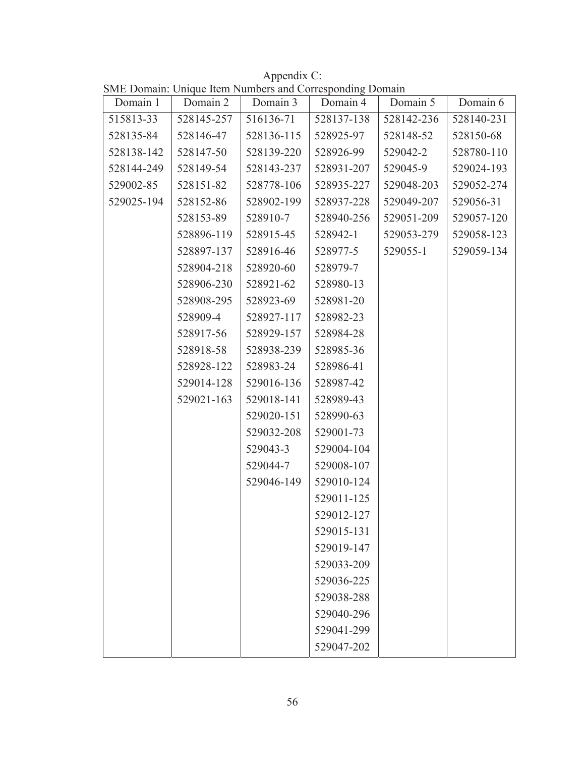Appendix C: SME Domain: Unique Item Numbers and Corresponding Domain

| Domain 1   | Domain 2   | Domain 3   | Domain 4   | Domain 5   | Domain 6   |
|------------|------------|------------|------------|------------|------------|
| 515813-33  | 528145-257 | 516136-71  | 528137-138 | 528142-236 | 528140-231 |
| 528135-84  | 528146-47  | 528136-115 | 528925-97  | 528148-52  | 528150-68  |
| 528138-142 | 528147-50  | 528139-220 | 528926-99  | 529042-2   | 528780-110 |
| 528144-249 | 528149-54  | 528143-237 | 528931-207 | 529045-9   | 529024-193 |
| 529002-85  | 528151-82  | 528778-106 | 528935-227 | 529048-203 | 529052-274 |
| 529025-194 | 528152-86  | 528902-199 | 528937-228 | 529049-207 | 529056-31  |
|            | 528153-89  | 528910-7   | 528940-256 | 529051-209 | 529057-120 |
|            | 528896-119 | 528915-45  | 528942-1   | 529053-279 | 529058-123 |
|            | 528897-137 | 528916-46  | 528977-5   | 529055-1   | 529059-134 |
|            | 528904-218 | 528920-60  | 528979-7   |            |            |
|            | 528906-230 | 528921-62  | 528980-13  |            |            |
|            | 528908-295 | 528923-69  | 528981-20  |            |            |
|            | 528909-4   | 528927-117 | 528982-23  |            |            |
|            | 528917-56  | 528929-157 | 528984-28  |            |            |
|            | 528918-58  | 528938-239 | 528985-36  |            |            |
|            | 528928-122 | 528983-24  | 528986-41  |            |            |
|            | 529014-128 | 529016-136 | 528987-42  |            |            |
|            | 529021-163 | 529018-141 | 528989-43  |            |            |
|            |            | 529020-151 | 528990-63  |            |            |
|            |            | 529032-208 | 529001-73  |            |            |
|            |            | 529043-3   | 529004-104 |            |            |
|            |            | 529044-7   | 529008-107 |            |            |
|            |            | 529046-149 | 529010-124 |            |            |
|            |            |            | 529011-125 |            |            |
|            |            |            | 529012-127 |            |            |
|            |            |            | 529015-131 |            |            |
|            |            |            | 529019-147 |            |            |
|            |            |            | 529033-209 |            |            |
|            |            |            | 529036-225 |            |            |
|            |            |            | 529038-288 |            |            |
|            |            |            | 529040-296 |            |            |
|            |            |            | 529041-299 |            |            |
|            |            |            | 529047-202 |            |            |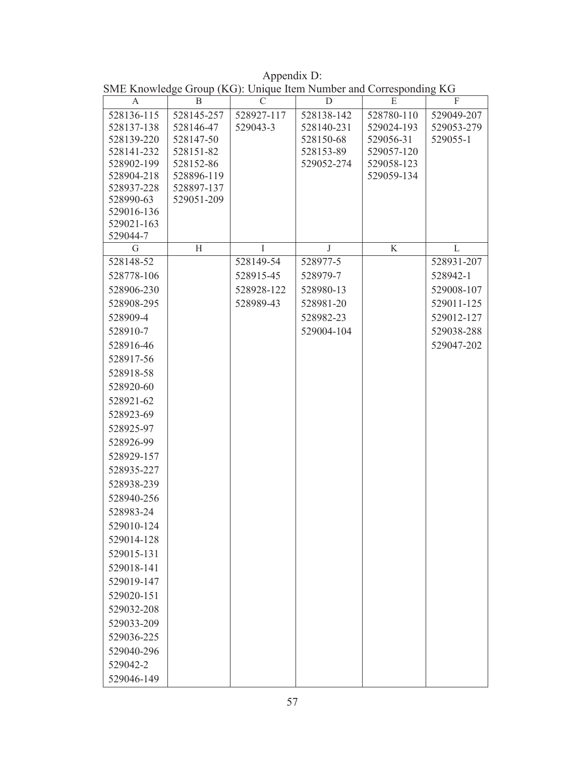| A                         | B          | C          | D          | E          | F          |
|---------------------------|------------|------------|------------|------------|------------|
| $\overline{528136} - 115$ | 528145-257 | 528927-117 | 528138-142 | 528780-110 | 529049-207 |
| 528137-138                | 528146-47  | 529043-3   | 528140-231 | 529024-193 | 529053-279 |
| 528139-220                | 528147-50  |            | 528150-68  | 529056-31  | 529055-1   |
| 528141-232                | 528151-82  |            | 528153-89  | 529057-120 |            |
| 528902-199                | 528152-86  |            | 529052-274 | 529058-123 |            |
| 528904-218                | 528896-119 |            |            | 529059-134 |            |
| 528937-228                | 528897-137 |            |            |            |            |
| 528990-63                 | 529051-209 |            |            |            |            |
| 529016-136<br>529021-163  |            |            |            |            |            |
| 529044-7                  |            |            |            |            |            |
| G                         | H          | T          | J          | K          | L          |
| 528148-52                 |            | 528149-54  | 528977-5   |            | 528931-207 |
| 528778-106                |            | 528915-45  | 528979-7   |            | 528942-1   |
| 528906-230                |            | 528928-122 | 528980-13  |            | 529008-107 |
| 528908-295                |            | 528989-43  | 528981-20  |            | 529011-125 |
| 528909-4                  |            |            | 528982-23  |            | 529012-127 |
| 528910-7                  |            |            | 529004-104 |            | 529038-288 |
| 528916-46                 |            |            |            |            | 529047-202 |
| 528917-56                 |            |            |            |            |            |
| 528918-58                 |            |            |            |            |            |
| 528920-60                 |            |            |            |            |            |
| 528921-62                 |            |            |            |            |            |
| 528923-69                 |            |            |            |            |            |
| 528925-97                 |            |            |            |            |            |
| 528926-99                 |            |            |            |            |            |
|                           |            |            |            |            |            |
| 528929-157                |            |            |            |            |            |
| 528935-227                |            |            |            |            |            |
| 528938-239                |            |            |            |            |            |
| 528940-256                |            |            |            |            |            |
| 528983-24                 |            |            |            |            |            |
| 529010-124                |            |            |            |            |            |
| 529014-128                |            |            |            |            |            |
| 529015-131                |            |            |            |            |            |
| 529018-141                |            |            |            |            |            |
| 529019-147                |            |            |            |            |            |
| 529020-151                |            |            |            |            |            |
| 529032-208                |            |            |            |            |            |
| 529033-209                |            |            |            |            |            |
| 529036-225                |            |            |            |            |            |
| 529040-296                |            |            |            |            |            |
| 529042-2                  |            |            |            |            |            |
| 529046-149                |            |            |            |            |            |

Appendix D: SME Knowledge Group (KG): Unique Item Number and Corresponding KG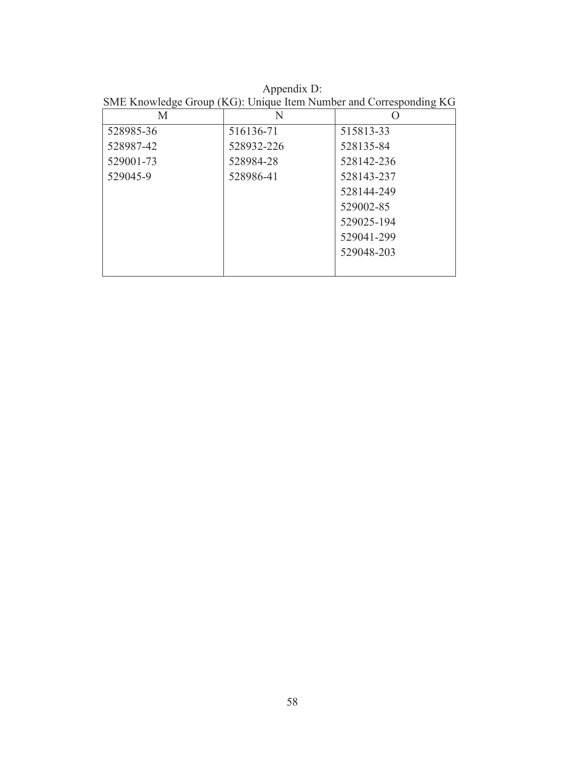Appendix D: SME Knowledge Group (KG): Unique Item Number and Corresponding KG

| М         | N          |            |
|-----------|------------|------------|
| 528985-36 | 516136-71  | 515813-33  |
| 528987-42 | 528932-226 | 528135-84  |
| 529001-73 | 528984-28  | 528142-236 |
| 529045-9  | 528986-41  | 528143-237 |
|           |            | 528144-249 |
|           |            | 529002-85  |
|           |            | 529025-194 |
|           |            | 529041-299 |
|           |            | 529048-203 |
|           |            |            |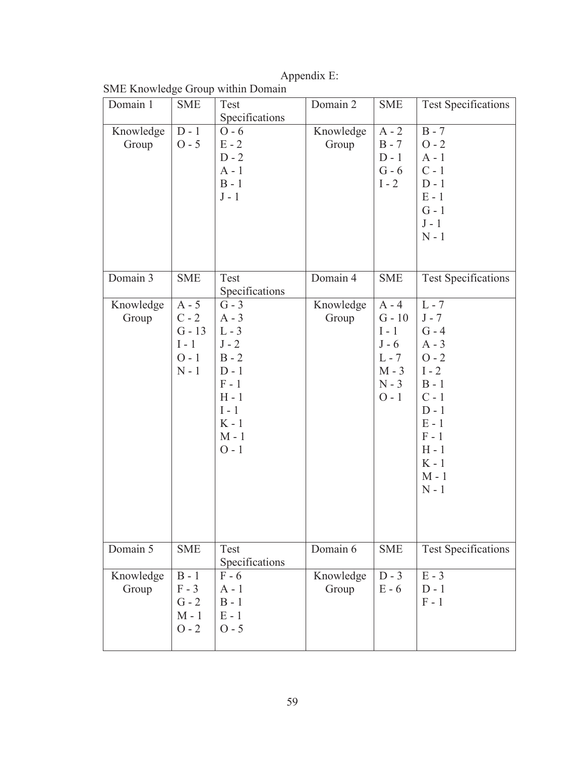|                    |                                                                 | SME Knowledge Group within Domain                                                                                                |                    |                                                                                       |                                                                                                                                                                   |
|--------------------|-----------------------------------------------------------------|----------------------------------------------------------------------------------------------------------------------------------|--------------------|---------------------------------------------------------------------------------------|-------------------------------------------------------------------------------------------------------------------------------------------------------------------|
| Domain 1           | <b>SME</b>                                                      | Test                                                                                                                             | Domain 2           | <b>SME</b>                                                                            | <b>Test Specifications</b>                                                                                                                                        |
|                    |                                                                 | Specifications                                                                                                                   |                    |                                                                                       |                                                                                                                                                                   |
| Knowledge<br>Group | $D - 1$<br>$O - 5$                                              | $O - 6$<br>$E - 2$<br>$D - 2$<br>$A - 1$<br>$B - 1$<br>$J - 1$                                                                   | Knowledge<br>Group | $A - 2$<br>$B - 7$<br>$D - 1$<br>$G - 6$<br>$I - 2$                                   | $B - 7$<br>$O - 2$<br>$A - 1$<br>$C - 1$<br>$D - 1$<br>$E - 1$<br>$G - 1$<br>$J - 1$<br>$N - 1$                                                                   |
| Domain 3           | <b>SME</b>                                                      | Test<br>Specifications                                                                                                           | Domain 4           | <b>SME</b>                                                                            | <b>Test Specifications</b>                                                                                                                                        |
| Knowledge<br>Group | $A - 5$<br>$C - 2$<br>$G - 13$<br>$I - 1$<br>$O - 1$<br>$N - 1$ | $G - 3$<br>$A - 3$<br>$L - 3$<br>$J - 2$<br>$B - 2$<br>$D - 1$<br>$F - 1$<br>$H - 1$<br>$I - 1$<br>$K - 1$<br>$M - 1$<br>$O - 1$ | Knowledge<br>Group | $A - 4$<br>$G - 10$<br>$I - 1$<br>$J - 6$<br>$L - 7$<br>$M - 3$<br>$N - 3$<br>$O - 1$ | $L - 7$<br>$J - 7$<br>$G - 4$<br>$A - 3$<br>$O - 2$<br>$I - 2$<br>$B - 1$<br>$C - 1$<br>$D - 1$<br>$E - 1$<br>$F - 1$<br>$H - 1$<br>$K - 1$<br>$M - 1$<br>$N - 1$ |
| Domain 5           | <b>SME</b>                                                      | Test<br>Specifications                                                                                                           | Domain 6           | <b>SME</b>                                                                            | <b>Test Specifications</b>                                                                                                                                        |
| Knowledge<br>Group | $B - 1$<br>$F - 3$<br>$G - 2$<br>$M - 1$<br>$O - 2$             | $F - 6$<br>$A - 1$<br>$B - 1$<br>$E - 1$<br>$O - 5$                                                                              | Knowledge<br>Group | $D - 3$<br>$E - 6$                                                                    | $E - 3$<br>$D - 1$<br>$F - 1$                                                                                                                                     |

Appendix E: SME Knowledge Group within Domain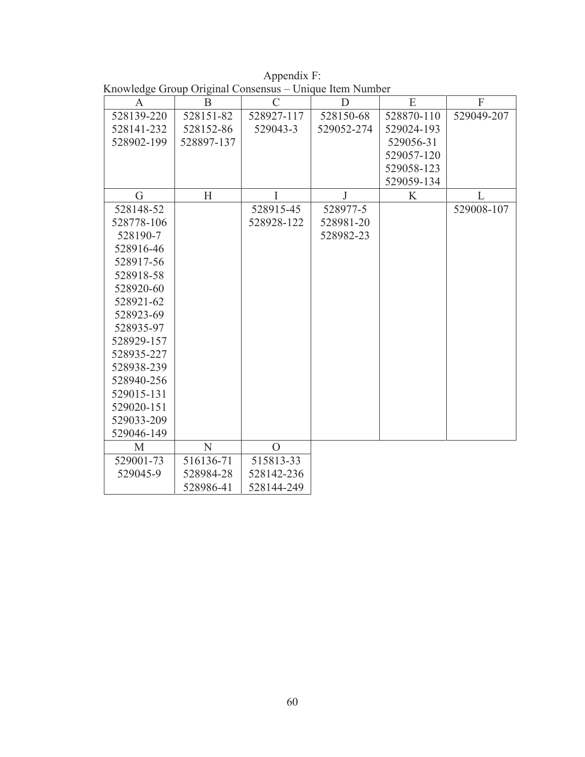|  | Appendix F: |                                                         |
|--|-------------|---------------------------------------------------------|
|  |             | Knowledge Group Original Consensus – Unique Item Number |

| A          | $\mathbf{B}$ | $\overline{C}$ | D          | E          | $\overline{F}$ |
|------------|--------------|----------------|------------|------------|----------------|
| 528139-220 | 528151-82    | 528927-117     | 528150-68  | 528870-110 | 529049-207     |
| 528141-232 | 528152-86    | 529043-3       | 529052-274 | 529024-193 |                |
| 528902-199 | 528897-137   |                |            | 529056-31  |                |
|            |              |                |            | 529057-120 |                |
|            |              |                |            | 529058-123 |                |
|            |              |                |            | 529059-134 |                |
| G          | H            | T              | J          | K          | L              |
| 528148-52  |              | 528915-45      | 528977-5   |            | 529008-107     |
| 528778-106 |              | 528928-122     | 528981-20  |            |                |
| 528190-7   |              |                | 528982-23  |            |                |
| 528916-46  |              |                |            |            |                |
| 528917-56  |              |                |            |            |                |
| 528918-58  |              |                |            |            |                |
| 528920-60  |              |                |            |            |                |
| 528921-62  |              |                |            |            |                |
| 528923-69  |              |                |            |            |                |
| 528935-97  |              |                |            |            |                |
| 528929-157 |              |                |            |            |                |
| 528935-227 |              |                |            |            |                |
| 528938-239 |              |                |            |            |                |
| 528940-256 |              |                |            |            |                |
| 529015-131 |              |                |            |            |                |
| 529020-151 |              |                |            |            |                |
| 529033-209 |              |                |            |            |                |
| 529046-149 |              |                |            |            |                |
| M          | N            | $\overline{O}$ |            |            |                |
| 529001-73  | 516136-71    | 515813-33      |            |            |                |
| 529045-9   | 528984-28    | 528142-236     |            |            |                |
|            | 528986-41    | 528144-249     |            |            |                |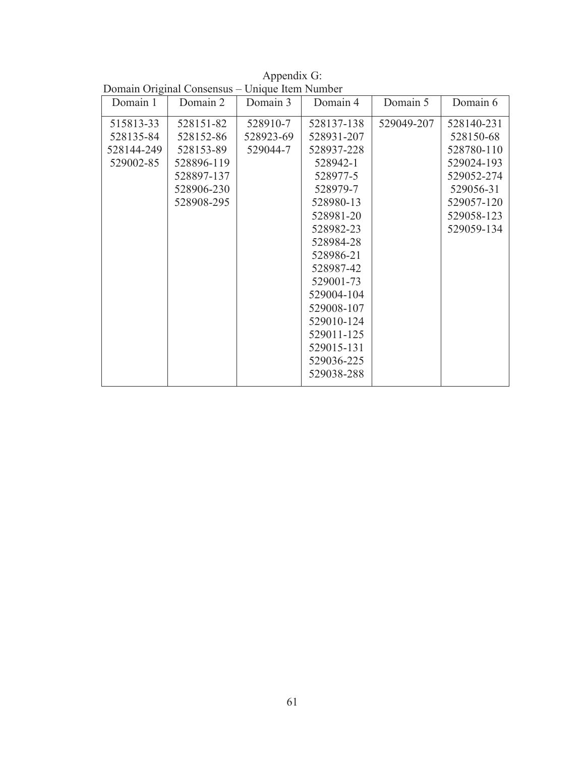| Domain 1   | $D$ onnam $O_{II}$ chan $O_{III}$<br>Domain 2 | $C$ <i>hique hem ramoer</i><br>Domain 3 | Domain 4   | Domain 5   | Domain 6   |
|------------|-----------------------------------------------|-----------------------------------------|------------|------------|------------|
| 515813-33  | 528151-82                                     | 528910-7                                | 528137-138 | 529049-207 | 528140-231 |
| 528135-84  | 528152-86                                     | 528923-69                               | 528931-207 |            | 528150-68  |
| 528144-249 | 528153-89                                     | 529044-7                                | 528937-228 |            | 528780-110 |
| 529002-85  | 528896-119                                    |                                         | 528942-1   |            | 529024-193 |
|            | 528897-137                                    |                                         | 528977-5   |            | 529052-274 |
|            | 528906-230                                    |                                         | 528979-7   |            | 529056-31  |
|            | 528908-295                                    |                                         | 528980-13  |            | 529057-120 |
|            |                                               |                                         | 528981-20  |            | 529058-123 |
|            |                                               |                                         | 528982-23  |            | 529059-134 |
|            |                                               |                                         | 528984-28  |            |            |
|            |                                               |                                         | 528986-21  |            |            |
|            |                                               |                                         | 528987-42  |            |            |
|            |                                               |                                         | 529001-73  |            |            |
|            |                                               |                                         | 529004-104 |            |            |
|            |                                               |                                         | 529008-107 |            |            |
|            |                                               |                                         | 529010-124 |            |            |
|            |                                               |                                         | 529011-125 |            |            |
|            |                                               |                                         | 529015-131 |            |            |
|            |                                               |                                         | 529036-225 |            |            |
|            |                                               |                                         | 529038-288 |            |            |

Appendix G: Domain Original Consensus – Unique Item Number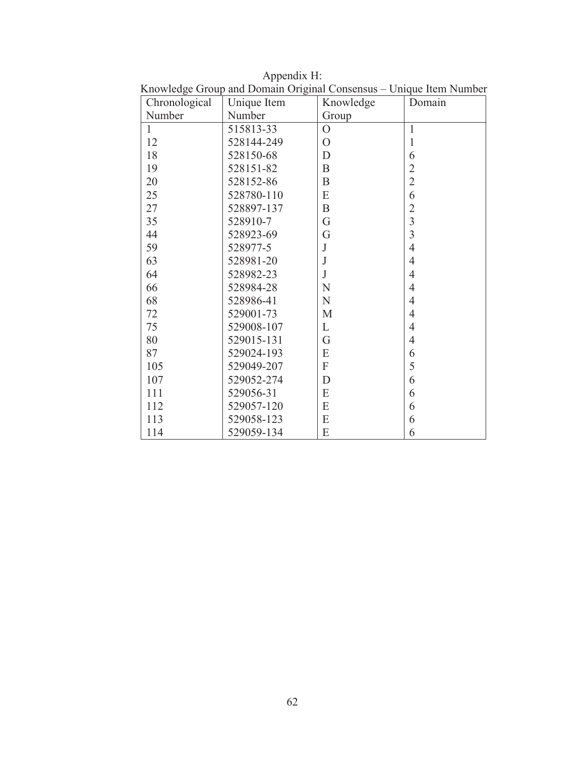| Chronological | <b>RETOWNOGO</b> OTORP and DOMAIN OTISHINI CONSCIISHS<br>Unique Item | Knowledge                 | Unique nom Franco<br>Domain |
|---------------|----------------------------------------------------------------------|---------------------------|-----------------------------|
| Number        | Number                                                               | Group                     |                             |
| $\mathbf{1}$  | 515813-33                                                            | $\overline{O}$            | $\mathbf{1}$                |
| 12            | 528144-249                                                           | $\overline{O}$            | $\mathbf{1}$                |
| 18            | 528150-68                                                            | $\mathbf D$               | 6                           |
| 19            | 528151-82                                                            | $\bf{B}$                  | $\overline{2}$              |
| 20            | 528152-86                                                            | B                         | $\overline{2}$              |
| 25            | 528780-110                                                           | ${\bf E}$                 | 6                           |
| 27            | 528897-137                                                           | $\mathbf B$               | $\overline{2}$              |
| 35            | 528910-7                                                             | G                         | $\overline{3}$              |
| 44            | 528923-69                                                            | G                         | $\overline{3}$              |
| 59            | 528977-5                                                             | $\bf J$                   | $\overline{4}$              |
| 63            | 528981-20                                                            | J                         | $\overline{4}$              |
| 64            | 528982-23                                                            | $\mathbf{J}$              | $\overline{4}$              |
| 66            | 528984-28                                                            | N                         | $\overline{4}$              |
| 68            | 528986-41                                                            | $\mathbf N$               | $\overline{4}$              |
| 72            | 529001-73                                                            | M                         | $\overline{4}$              |
| 75            | 529008-107                                                           | L                         | $\overline{4}$              |
| 80            | 529015-131                                                           | G                         | $\overline{4}$              |
| 87            | 529024-193                                                           | E                         | 6                           |
| 105           | 529049-207                                                           | $\boldsymbol{\mathrm{F}}$ | 5                           |
| 107           | 529052-274                                                           | $\mathbf D$               | 6                           |
| 111           | 529056-31                                                            | E                         | 6                           |
| 112           | 529057-120                                                           | ${\bf E}$                 | 6                           |
| 113           | 529058-123                                                           | ${\bf E}$                 | 6                           |
| 114           | 529059-134                                                           | E                         | 6                           |

Appendix H: Knowledge Group and Domain Original Consensus – Unique Item Number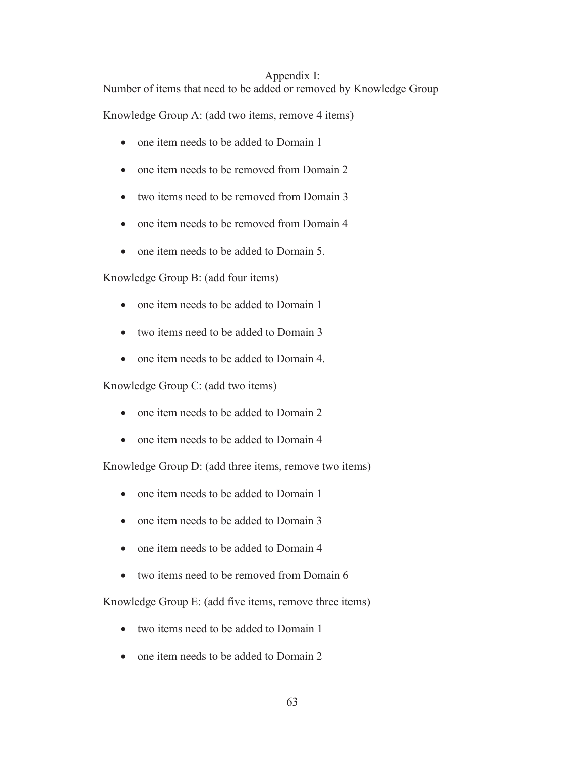#### Appendix I:

Number of items that need to be added or removed by Knowledge Group

Knowledge Group A: (add two items, remove 4 items)

- one item needs to be added to Domain 1
- one item needs to be removed from Domain 2
- two items need to be removed from Domain 3
- one item needs to be removed from Domain 4
- one item needs to be added to Domain 5.

Knowledge Group B: (add four items)

- one item needs to be added to Domain 1
- two items need to be added to Domain 3
- one item needs to be added to Domain 4.

Knowledge Group C: (add two items)

- one item needs to be added to Domain 2
- one item needs to be added to Domain 4

Knowledge Group D: (add three items, remove two items)

- one item needs to be added to Domain 1
- one item needs to be added to Domain 3
- one item needs to be added to Domain 4
- $\bullet$  two items need to be removed from Domain 6

Knowledge Group E: (add five items, remove three items)

- two items need to be added to Domain 1
- one item needs to be added to Domain 2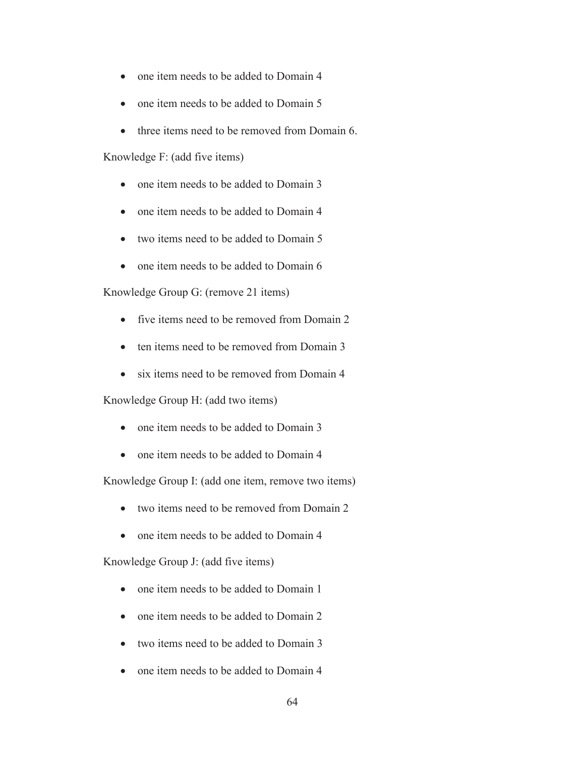- one item needs to be added to Domain 4
- one item needs to be added to Domain 5
- three items need to be removed from Domain 6.

Knowledge F: (add five items)

- one item needs to be added to Domain 3
- one item needs to be added to Domain 4
- $\bullet$  two items need to be added to Domain 5
- $\bullet$  one item needs to be added to Domain 6

Knowledge Group G: (remove 21 items)

- five items need to be removed from Domain 2
- ten items need to be removed from Domain 3
- six items need to be removed from Domain 4

Knowledge Group H: (add two items)

- one item needs to be added to Domain 3
- one item needs to be added to Domain 4

Knowledge Group I: (add one item, remove two items)

- $\bullet$  two items need to be removed from Domain 2
- one item needs to be added to Domain 4

Knowledge Group J: (add five items)

- one item needs to be added to Domain 1
- one item needs to be added to Domain 2
- two items need to be added to Domain 3
- one item needs to be added to Domain 4